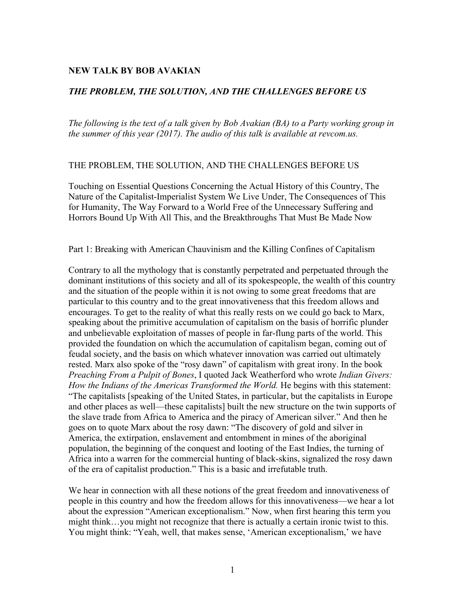## **NEW TALK BY BOB AVAKIAN**

## *THE PROBLEM, THE SOLUTION, AND THE CHALLENGES BEFORE US*

*The following is the text of a talk given by Bob Avakian (BA) to a Party working group in the summer of this year (2017). The audio of this talk is available at revcom.us.*

## THE PROBLEM, THE SOLUTION, AND THE CHALLENGES BEFORE US

Touching on Essential Questions Concerning the Actual History of this Country, The Nature of the Capitalist-Imperialist System We Live Under, The Consequences of This for Humanity, The Way Forward to a World Free of the Unnecessary Suffering and Horrors Bound Up With All This, and the Breakthroughs That Must Be Made Now

## Part 1: Breaking with American Chauvinism and the Killing Confines of Capitalism

Contrary to all the mythology that is constantly perpetrated and perpetuated through the dominant institutions of this society and all of its spokespeople, the wealth of this country and the situation of the people within it is not owing to some great freedoms that are particular to this country and to the great innovativeness that this freedom allows and encourages. To get to the reality of what this really rests on we could go back to Marx, speaking about the primitive accumulation of capitalism on the basis of horrific plunder and unbelievable exploitation of masses of people in far-flung parts of the world. This provided the foundation on which the accumulation of capitalism began, coming out of feudal society, and the basis on which whatever innovation was carried out ultimately rested. Marx also spoke of the "rosy dawn" of capitalism with great irony. In the book *Preaching From a Pulpit of Bones*, I quoted Jack Weatherford who wrote *Indian Givers: How the Indians of the Americas Transformed the World.* He begins with this statement: "The capitalists [speaking of the United States, in particular, but the capitalists in Europe and other places as well—these capitalists] built the new structure on the twin supports of the slave trade from Africa to America and the piracy of American silver." And then he goes on to quote Marx about the rosy dawn: "The discovery of gold and silver in America, the extirpation, enslavement and entombment in mines of the aboriginal population, the beginning of the conquest and looting of the East Indies, the turning of Africa into a warren for the commercial hunting of black-skins, signalized the rosy dawn of the era of capitalist production." This is a basic and irrefutable truth.

We hear in connection with all these notions of the great freedom and innovativeness of people in this country and how the freedom allows for this innovativeness—we hear a lot about the expression "American exceptionalism." Now, when first hearing this term you might think…you might not recognize that there is actually a certain ironic twist to this. You might think: "Yeah, well, that makes sense, 'American exceptionalism,' we have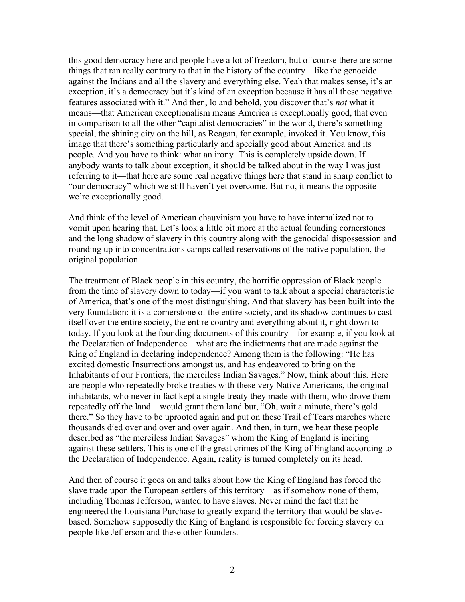this good democracy here and people have a lot of freedom, but of course there are some things that ran really contrary to that in the history of the country—like the genocide against the Indians and all the slavery and everything else. Yeah that makes sense, it's an exception, it's a democracy but it's kind of an exception because it has all these negative features associated with it." And then, lo and behold, you discover that's *not* what it means—that American exceptionalism means America is exceptionally good, that even in comparison to all the other "capitalist democracies" in the world, there's something special, the shining city on the hill, as Reagan, for example, invoked it. You know, this image that there's something particularly and specially good about America and its people. And you have to think: what an irony. This is completely upside down. If anybody wants to talk about exception, it should be talked about in the way I was just referring to it—that here are some real negative things here that stand in sharp conflict to "our democracy" which we still haven't yet overcome. But no, it means the opposite we're exceptionally good.

And think of the level of American chauvinism you have to have internalized not to vomit upon hearing that. Let's look a little bit more at the actual founding cornerstones and the long shadow of slavery in this country along with the genocidal dispossession and rounding up into concentrations camps called reservations of the native population, the original population.

The treatment of Black people in this country, the horrific oppression of Black people from the time of slavery down to today—if you want to talk about a special characteristic of America, that's one of the most distinguishing. And that slavery has been built into the very foundation: it is a cornerstone of the entire society, and its shadow continues to cast itself over the entire society, the entire country and everything about it, right down to today. If you look at the founding documents of this country—for example, if you look at the Declaration of Independence—what are the indictments that are made against the King of England in declaring independence? Among them is the following: "He has excited domestic Insurrections amongst us, and has endeavored to bring on the Inhabitants of our Frontiers, the merciless Indian Savages." Now, think about this. Here are people who repeatedly broke treaties with these very Native Americans, the original inhabitants, who never in fact kept a single treaty they made with them, who drove them repeatedly off the land—would grant them land but, "Oh, wait a minute, there's gold there." So they have to be uprooted again and put on these Trail of Tears marches where thousands died over and over and over again. And then, in turn, we hear these people described as "the merciless Indian Savages" whom the King of England is inciting against these settlers. This is one of the great crimes of the King of England according to the Declaration of Independence. Again, reality is turned completely on its head.

And then of course it goes on and talks about how the King of England has forced the slave trade upon the European settlers of this territory—as if somehow none of them, including Thomas Jefferson, wanted to have slaves. Never mind the fact that he engineered the Louisiana Purchase to greatly expand the territory that would be slavebased. Somehow supposedly the King of England is responsible for forcing slavery on people like Jefferson and these other founders.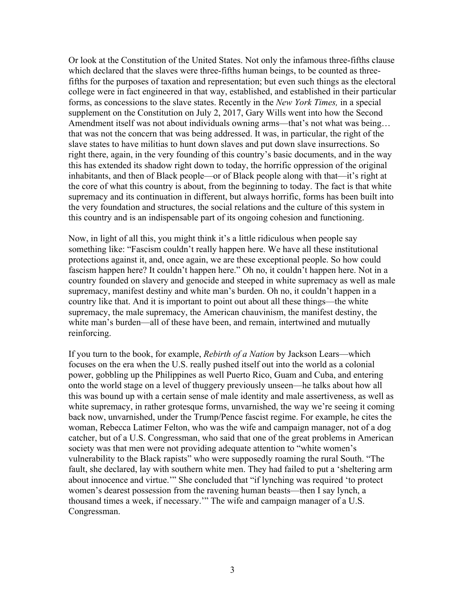Or look at the Constitution of the United States. Not only the infamous three-fifths clause which declared that the slaves were three-fifths human beings, to be counted as threefifths for the purposes of taxation and representation; but even such things as the electoral college were in fact engineered in that way, established, and established in their particular forms, as concessions to the slave states. Recently in the *New York Times,* in a special supplement on the Constitution on July 2, 2017, Gary Wills went into how the Second Amendment itself was not about individuals owning arms—that's not what was being… that was not the concern that was being addressed. It was, in particular, the right of the slave states to have militias to hunt down slaves and put down slave insurrections. So right there, again, in the very founding of this country's basic documents, and in the way this has extended its shadow right down to today, the horrific oppression of the original inhabitants, and then of Black people—or of Black people along with that—it's right at the core of what this country is about, from the beginning to today. The fact is that white supremacy and its continuation in different, but always horrific, forms has been built into the very foundation and structures, the social relations and the culture of this system in this country and is an indispensable part of its ongoing cohesion and functioning.

Now, in light of all this, you might think it's a little ridiculous when people say something like: "Fascism couldn't really happen here. We have all these institutional protections against it, and, once again, we are these exceptional people. So how could fascism happen here? It couldn't happen here." Oh no, it couldn't happen here. Not in a country founded on slavery and genocide and steeped in white supremacy as well as male supremacy, manifest destiny and white man's burden. Oh no, it couldn't happen in a country like that. And it is important to point out about all these things—the white supremacy, the male supremacy, the American chauvinism, the manifest destiny, the white man's burden—all of these have been, and remain, intertwined and mutually reinforcing.

If you turn to the book, for example, *Rebirth of a Nation* by Jackson Lears—which focuses on the era when the U.S. really pushed itself out into the world as a colonial power, gobbling up the Philippines as well Puerto Rico, Guam and Cuba, and entering onto the world stage on a level of thuggery previously unseen—he talks about how all this was bound up with a certain sense of male identity and male assertiveness, as well as white supremacy, in rather grotesque forms, unvarnished, the way we're seeing it coming back now, unvarnished, under the Trump/Pence fascist regime. For example, he cites the woman, Rebecca Latimer Felton, who was the wife and campaign manager, not of a dog catcher, but of a U.S. Congressman, who said that one of the great problems in American society was that men were not providing adequate attention to "white women's vulnerability to the Black rapists" who were supposedly roaming the rural South. "The fault, she declared, lay with southern white men. They had failed to put a 'sheltering arm about innocence and virtue.'" She concluded that "if lynching was required 'to protect women's dearest possession from the ravening human beasts—then I say lynch, a thousand times a week, if necessary.'" The wife and campaign manager of a U.S. Congressman.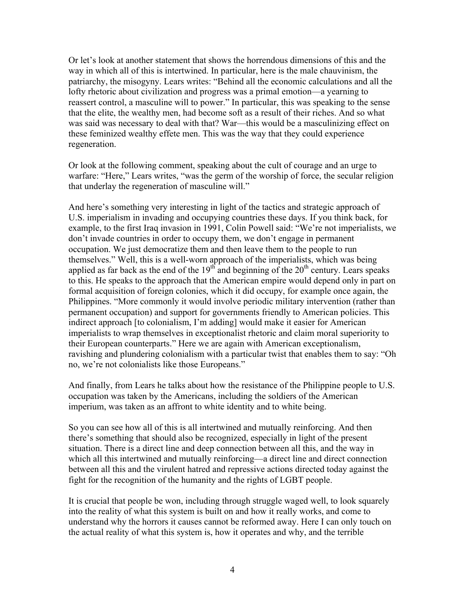Or let's look at another statement that shows the horrendous dimensions of this and the way in which all of this is intertwined. In particular, here is the male chauvinism, the patriarchy, the misogyny. Lears writes: "Behind all the economic calculations and all the lofty rhetoric about civilization and progress was a primal emotion—a yearning to reassert control, a masculine will to power." In particular, this was speaking to the sense that the elite, the wealthy men, had become soft as a result of their riches. And so what was said was necessary to deal with that? War—this would be a masculinizing effect on these feminized wealthy effete men. This was the way that they could experience regeneration.

Or look at the following comment, speaking about the cult of courage and an urge to warfare: "Here," Lears writes, "was the germ of the worship of force, the secular religion that underlay the regeneration of masculine will."

And here's something very interesting in light of the tactics and strategic approach of U.S. imperialism in invading and occupying countries these days. If you think back, for example, to the first Iraq invasion in 1991, Colin Powell said: "We're not imperialists, we don't invade countries in order to occupy them, we don't engage in permanent occupation. We just democratize them and then leave them to the people to run themselves." Well, this is a well-worn approach of the imperialists, which was being applied as far back as the end of the  $19<sup>th</sup>$  and beginning of the  $20<sup>th</sup>$  century. Lears speaks to this. He speaks to the approach that the American empire would depend only in part on formal acquisition of foreign colonies, which it did occupy, for example once again, the Philippines. "More commonly it would involve periodic military intervention (rather than permanent occupation) and support for governments friendly to American policies. This indirect approach [to colonialism, I'm adding] would make it easier for American imperialists to wrap themselves in exceptionalist rhetoric and claim moral superiority to their European counterparts." Here we are again with American exceptionalism, ravishing and plundering colonialism with a particular twist that enables them to say: "Oh no, we're not colonialists like those Europeans."

And finally, from Lears he talks about how the resistance of the Philippine people to U.S. occupation was taken by the Americans, including the soldiers of the American imperium, was taken as an affront to white identity and to white being.

So you can see how all of this is all intertwined and mutually reinforcing. And then there's something that should also be recognized, especially in light of the present situation. There is a direct line and deep connection between all this, and the way in which all this intertwined and mutually reinforcing—a direct line and direct connection between all this and the virulent hatred and repressive actions directed today against the fight for the recognition of the humanity and the rights of LGBT people.

It is crucial that people be won, including through struggle waged well, to look squarely into the reality of what this system is built on and how it really works, and come to understand why the horrors it causes cannot be reformed away. Here I can only touch on the actual reality of what this system is, how it operates and why, and the terrible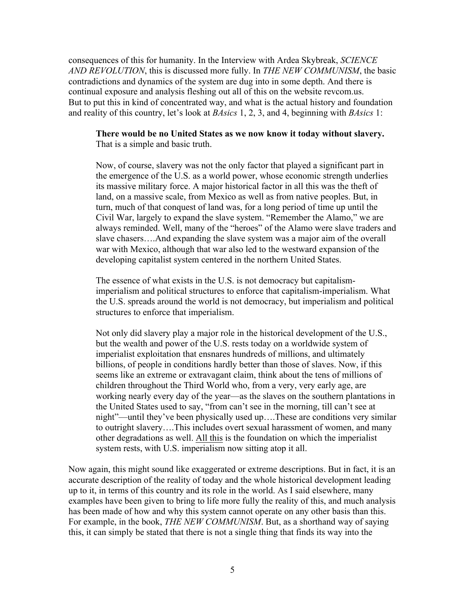consequences of this for humanity. In the Interview with Ardea Skybreak, *SCIENCE AND REVOLUTION*, this is discussed more fully. In *THE NEW COMMUNISM*, the basic contradictions and dynamics of the system are dug into in some depth. And there is continual exposure and analysis fleshing out all of this on the website revcom.us. But to put this in kind of concentrated way, and what is the actual history and foundation and reality of this country, let's look at *BAsics* 1, 2, 3, and 4, beginning with *BAsics* 1:

**There would be no United States as we now know it today without slavery.** That is a simple and basic truth.

Now, of course, slavery was not the only factor that played a significant part in the emergence of the U.S. as a world power, whose economic strength underlies its massive military force. A major historical factor in all this was the theft of land, on a massive scale, from Mexico as well as from native peoples. But, in turn, much of that conquest of land was, for a long period of time up until the Civil War, largely to expand the slave system. "Remember the Alamo," we are always reminded. Well, many of the "heroes" of the Alamo were slave traders and slave chasers….And expanding the slave system was a major aim of the overall war with Mexico, although that war also led to the westward expansion of the developing capitalist system centered in the northern United States.

The essence of what exists in the U.S. is not democracy but capitalismimperialism and political structures to enforce that capitalism-imperialism. What the U.S. spreads around the world is not democracy, but imperialism and political structures to enforce that imperialism.

Not only did slavery play a major role in the historical development of the U.S., but the wealth and power of the U.S. rests today on a worldwide system of imperialist exploitation that ensnares hundreds of millions, and ultimately billions, of people in conditions hardly better than those of slaves. Now, if this seems like an extreme or extravagant claim, think about the tens of millions of children throughout the Third World who, from a very, very early age, are working nearly every day of the year—as the slaves on the southern plantations in the United States used to say, "from can't see in the morning, till can't see at night"—until they've been physically used up….These are conditions very similar to outright slavery….This includes overt sexual harassment of women, and many other degradations as well. All this is the foundation on which the imperialist system rests, with U.S. imperialism now sitting atop it all.

Now again, this might sound like exaggerated or extreme descriptions. But in fact, it is an accurate description of the reality of today and the whole historical development leading up to it, in terms of this country and its role in the world. As I said elsewhere, many examples have been given to bring to life more fully the reality of this, and much analysis has been made of how and why this system cannot operate on any other basis than this. For example, in the book, *THE NEW COMMUNISM*. But, as a shorthand way of saying this, it can simply be stated that there is not a single thing that finds its way into the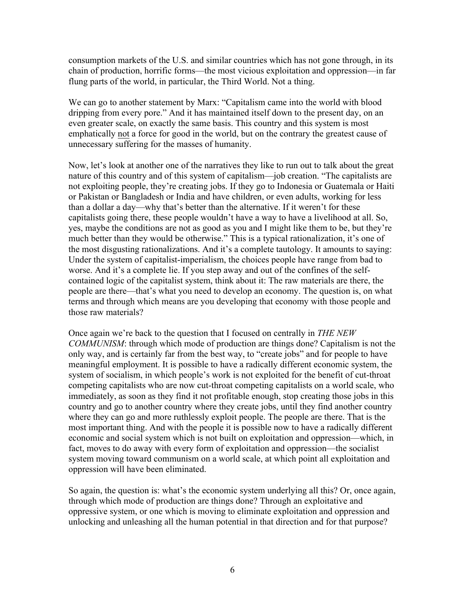consumption markets of the U.S. and similar countries which has not gone through, in its chain of production, horrific forms—the most vicious exploitation and oppression—in far flung parts of the world, in particular, the Third World. Not a thing.

We can go to another statement by Marx: "Capitalism came into the world with blood dripping from every pore." And it has maintained itself down to the present day, on an even greater scale, on exactly the same basis. This country and this system is most emphatically not a force for good in the world, but on the contrary the greatest cause of unnecessary suffering for the masses of humanity.

Now, let's look at another one of the narratives they like to run out to talk about the great nature of this country and of this system of capitalism—job creation. "The capitalists are not exploiting people, they're creating jobs. If they go to Indonesia or Guatemala or Haiti or Pakistan or Bangladesh or India and have children, or even adults, working for less than a dollar a day—why that's better than the alternative. If it weren't for these capitalists going there, these people wouldn't have a way to have a livelihood at all. So, yes, maybe the conditions are not as good as you and I might like them to be, but they're much better than they would be otherwise." This is a typical rationalization, it's one of the most disgusting rationalizations. And it's a complete tautology. It amounts to saying: Under the system of capitalist-imperialism, the choices people have range from bad to worse. And it's a complete lie. If you step away and out of the confines of the selfcontained logic of the capitalist system, think about it: The raw materials are there, the people are there—that's what you need to develop an economy. The question is, on what terms and through which means are you developing that economy with those people and those raw materials?

Once again we're back to the question that I focused on centrally in *THE NEW COMMUNISM*: through which mode of production are things done? Capitalism is not the only way, and is certainly far from the best way, to "create jobs" and for people to have meaningful employment. It is possible to have a radically different economic system, the system of socialism, in which people's work is not exploited for the benefit of cut-throat competing capitalists who are now cut-throat competing capitalists on a world scale, who immediately, as soon as they find it not profitable enough, stop creating those jobs in this country and go to another country where they create jobs, until they find another country where they can go and more ruthlessly exploit people. The people are there. That is the most important thing. And with the people it is possible now to have a radically different economic and social system which is not built on exploitation and oppression—which, in fact, moves to do away with every form of exploitation and oppression—the socialist system moving toward communism on a world scale, at which point all exploitation and oppression will have been eliminated.

So again, the question is: what's the economic system underlying all this? Or, once again, through which mode of production are things done? Through an exploitative and oppressive system, or one which is moving to eliminate exploitation and oppression and unlocking and unleashing all the human potential in that direction and for that purpose?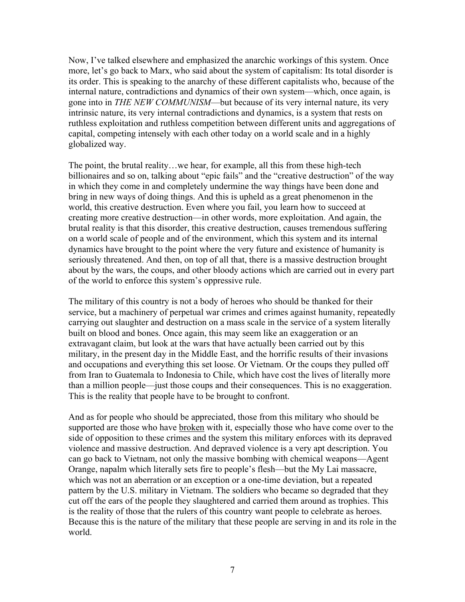Now, I've talked elsewhere and emphasized the anarchic workings of this system. Once more, let's go back to Marx, who said about the system of capitalism: Its total disorder is its order. This is speaking to the anarchy of these different capitalists who, because of the internal nature, contradictions and dynamics of their own system—which, once again, is gone into in *THE NEW COMMUNISM*—but because of its very internal nature, its very intrinsic nature, its very internal contradictions and dynamics, is a system that rests on ruthless exploitation and ruthless competition between different units and aggregations of capital, competing intensely with each other today on a world scale and in a highly globalized way.

The point, the brutal reality…we hear, for example, all this from these high-tech billionaires and so on, talking about "epic fails" and the "creative destruction" of the way in which they come in and completely undermine the way things have been done and bring in new ways of doing things. And this is upheld as a great phenomenon in the world, this creative destruction. Even where you fail, you learn how to succeed at creating more creative destruction—in other words, more exploitation. And again, the brutal reality is that this disorder, this creative destruction, causes tremendous suffering on a world scale of people and of the environment, which this system and its internal dynamics have brought to the point where the very future and existence of humanity is seriously threatened. And then, on top of all that, there is a massive destruction brought about by the wars, the coups, and other bloody actions which are carried out in every part of the world to enforce this system's oppressive rule.

The military of this country is not a body of heroes who should be thanked for their service, but a machinery of perpetual war crimes and crimes against humanity, repeatedly carrying out slaughter and destruction on a mass scale in the service of a system literally built on blood and bones. Once again, this may seem like an exaggeration or an extravagant claim, but look at the wars that have actually been carried out by this military, in the present day in the Middle East, and the horrific results of their invasions and occupations and everything this set loose. Or Vietnam. Or the coups they pulled off from Iran to Guatemala to Indonesia to Chile, which have cost the lives of literally more than a million people—just those coups and their consequences. This is no exaggeration. This is the reality that people have to be brought to confront.

And as for people who should be appreciated, those from this military who should be supported are those who have broken with it, especially those who have come over to the side of opposition to these crimes and the system this military enforces with its depraved violence and massive destruction. And depraved violence is a very apt description. You can go back to Vietnam, not only the massive bombing with chemical weapons—Agent Orange, napalm which literally sets fire to people's flesh—but the My Lai massacre, which was not an aberration or an exception or a one-time deviation, but a repeated pattern by the U.S. military in Vietnam. The soldiers who became so degraded that they cut off the ears of the people they slaughtered and carried them around as trophies. This is the reality of those that the rulers of this country want people to celebrate as heroes. Because this is the nature of the military that these people are serving in and its role in the world.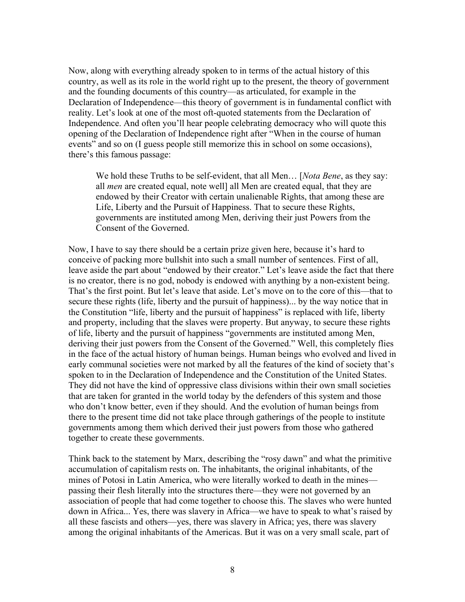Now, along with everything already spoken to in terms of the actual history of this country, as well as its role in the world right up to the present, the theory of government and the founding documents of this country—as articulated, for example in the Declaration of Independence—this theory of government is in fundamental conflict with reality. Let's look at one of the most oft-quoted statements from the Declaration of Independence. And often you'll hear people celebrating democracy who will quote this opening of the Declaration of Independence right after "When in the course of human events" and so on (I guess people still memorize this in school on some occasions), there's this famous passage:

We hold these Truths to be self-evident, that all Men… [*Nota Bene*, as they say: all *men* are created equal, note well] all Men are created equal, that they are endowed by their Creator with certain unalienable Rights, that among these are Life, Liberty and the Pursuit of Happiness. That to secure these Rights, governments are instituted among Men, deriving their just Powers from the Consent of the Governed.

Now, I have to say there should be a certain prize given here, because it's hard to conceive of packing more bullshit into such a small number of sentences. First of all, leave aside the part about "endowed by their creator." Let's leave aside the fact that there is no creator, there is no god, nobody is endowed with anything by a non-existent being. That's the first point. But let's leave that aside. Let's move on to the core of this—that to secure these rights (life, liberty and the pursuit of happiness)... by the way notice that in the Constitution "life, liberty and the pursuit of happiness" is replaced with life, liberty and property, including that the slaves were property. But anyway, to secure these rights of life, liberty and the pursuit of happiness "governments are instituted among Men, deriving their just powers from the Consent of the Governed." Well, this completely flies in the face of the actual history of human beings. Human beings who evolved and lived in early communal societies were not marked by all the features of the kind of society that's spoken to in the Declaration of Independence and the Constitution of the United States. They did not have the kind of oppressive class divisions within their own small societies that are taken for granted in the world today by the defenders of this system and those who don't know better, even if they should. And the evolution of human beings from there to the present time did not take place through gatherings of the people to institute governments among them which derived their just powers from those who gathered together to create these governments.

Think back to the statement by Marx, describing the "rosy dawn" and what the primitive accumulation of capitalism rests on. The inhabitants, the original inhabitants, of the mines of Potosi in Latin America, who were literally worked to death in the mines passing their flesh literally into the structures there—they were not governed by an association of people that had come together to choose this. The slaves who were hunted down in Africa... Yes, there was slavery in Africa—we have to speak to what's raised by all these fascists and others—yes, there was slavery in Africa; yes, there was slavery among the original inhabitants of the Americas. But it was on a very small scale, part of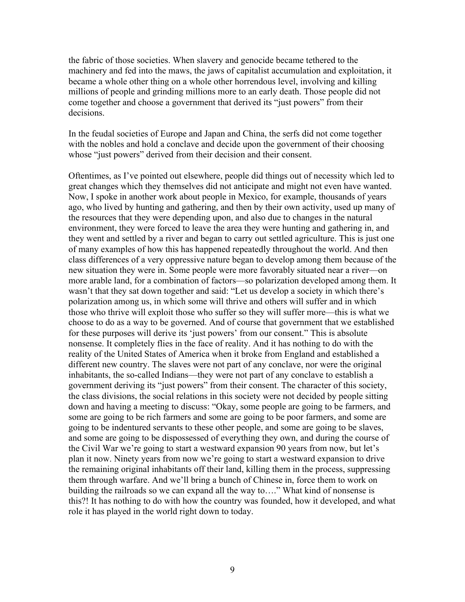the fabric of those societies. When slavery and genocide became tethered to the machinery and fed into the maws, the jaws of capitalist accumulation and exploitation, it became a whole other thing on a whole other horrendous level, involving and killing millions of people and grinding millions more to an early death. Those people did not come together and choose a government that derived its "just powers" from their decisions.

In the feudal societies of Europe and Japan and China, the serfs did not come together with the nobles and hold a conclave and decide upon the government of their choosing whose "just powers" derived from their decision and their consent.

Oftentimes, as I've pointed out elsewhere, people did things out of necessity which led to great changes which they themselves did not anticipate and might not even have wanted. Now, I spoke in another work about people in Mexico, for example, thousands of years ago, who lived by hunting and gathering, and then by their own activity, used up many of the resources that they were depending upon, and also due to changes in the natural environment, they were forced to leave the area they were hunting and gathering in, and they went and settled by a river and began to carry out settled agriculture. This is just one of many examples of how this has happened repeatedly throughout the world. And then class differences of a very oppressive nature began to develop among them because of the new situation they were in. Some people were more favorably situated near a river—on more arable land, for a combination of factors—so polarization developed among them. It wasn't that they sat down together and said: "Let us develop a society in which there's polarization among us, in which some will thrive and others will suffer and in which those who thrive will exploit those who suffer so they will suffer more—this is what we choose to do as a way to be governed. And of course that government that we established for these purposes will derive its 'just powers' from our consent." This is absolute nonsense. It completely flies in the face of reality. And it has nothing to do with the reality of the United States of America when it broke from England and established a different new country. The slaves were not part of any conclave, nor were the original inhabitants, the so-called Indians—they were not part of any conclave to establish a government deriving its "just powers" from their consent. The character of this society, the class divisions, the social relations in this society were not decided by people sitting down and having a meeting to discuss: "Okay, some people are going to be farmers, and some are going to be rich farmers and some are going to be poor farmers, and some are going to be indentured servants to these other people, and some are going to be slaves, and some are going to be dispossessed of everything they own, and during the course of the Civil War we're going to start a westward expansion 90 years from now, but let's plan it now. Ninety years from now we're going to start a westward expansion to drive the remaining original inhabitants off their land, killing them in the process, suppressing them through warfare. And we'll bring a bunch of Chinese in, force them to work on building the railroads so we can expand all the way to…." What kind of nonsense is this?! It has nothing to do with how the country was founded, how it developed, and what role it has played in the world right down to today.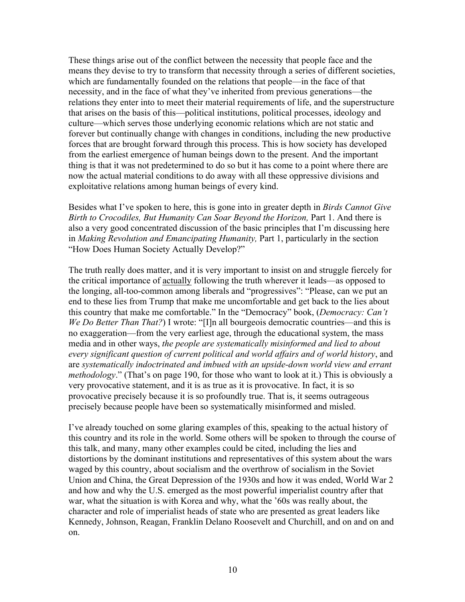These things arise out of the conflict between the necessity that people face and the means they devise to try to transform that necessity through a series of different societies, which are fundamentally founded on the relations that people—in the face of that necessity, and in the face of what they've inherited from previous generations—the relations they enter into to meet their material requirements of life, and the superstructure that arises on the basis of this—political institutions, political processes, ideology and culture—which serves those underlying economic relations which are not static and forever but continually change with changes in conditions, including the new productive forces that are brought forward through this process. This is how society has developed from the earliest emergence of human beings down to the present. And the important thing is that it was not predetermined to do so but it has come to a point where there are now the actual material conditions to do away with all these oppressive divisions and exploitative relations among human beings of every kind.

Besides what I've spoken to here, this is gone into in greater depth in *Birds Cannot Give Birth to Crocodiles, But Humanity Can Soar Beyond the Horizon,* Part 1. And there is also a very good concentrated discussion of the basic principles that I'm discussing here in *Making Revolution and Emancipating Humanity,* Part 1, particularly in the section "How Does Human Society Actually Develop?"

The truth really does matter, and it is very important to insist on and struggle fiercely for the critical importance of actually following the truth wherever it leads—as opposed to the longing, all-too-common among liberals and "progressives": "Please, can we put an end to these lies from Trump that make me uncomfortable and get back to the lies about this country that make me comfortable." In the "Democracy" book, (*Democracy: Can't We Do Better Than That?*) I wrote: "[I]n all bourgeois democratic countries—and this is no exaggeration—from the very earliest age, through the educational system, the mass media and in other ways, *the people are systematically misinformed and lied to about every significant question of current political and world affairs and of world history*, and are *systematically indoctrinated and imbued with an upside-down world view and errant methodology*." (That's on page 190, for those who want to look at it.) This is obviously a very provocative statement, and it is as true as it is provocative. In fact, it is so provocative precisely because it is so profoundly true. That is, it seems outrageous precisely because people have been so systematically misinformed and misled.

I've already touched on some glaring examples of this, speaking to the actual history of this country and its role in the world. Some others will be spoken to through the course of this talk, and many, many other examples could be cited, including the lies and distortions by the dominant institutions and representatives of this system about the wars waged by this country, about socialism and the overthrow of socialism in the Soviet Union and China, the Great Depression of the 1930s and how it was ended, World War 2 and how and why the U.S. emerged as the most powerful imperialist country after that war, what the situation is with Korea and why, what the '60s was really about, the character and role of imperialist heads of state who are presented as great leaders like Kennedy, Johnson, Reagan, Franklin Delano Roosevelt and Churchill, and on and on and on.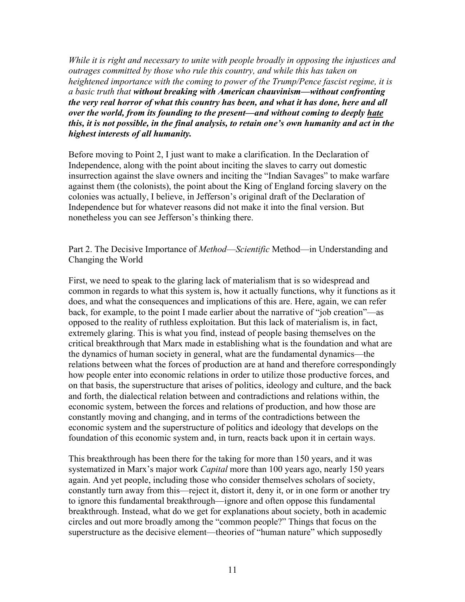*While it is right and necessary to unite with people broadly in opposing the injustices and outrages committed by those who rule this country, and while this has taken on heightened importance with the coming to power of the Trump/Pence fascist regime, it is a basic truth that without breaking with American chauvinism—without confronting the very real horror of what this country has been, and what it has done, here and all over the world, from its founding to the present—and without coming to deeply hate this, it is not possible, in the final analysis, to retain one's own humanity and act in the highest interests of all humanity.*

Before moving to Point 2, I just want to make a clarification. In the Declaration of Independence, along with the point about inciting the slaves to carry out domestic insurrection against the slave owners and inciting the "Indian Savages" to make warfare against them (the colonists), the point about the King of England forcing slavery on the colonies was actually, I believe, in Jefferson's original draft of the Declaration of Independence but for whatever reasons did not make it into the final version. But nonetheless you can see Jefferson's thinking there.

Part 2. The Decisive Importance of *Method*—*Scientific* Method—in Understanding and Changing the World

First, we need to speak to the glaring lack of materialism that is so widespread and common in regards to what this system is, how it actually functions, why it functions as it does, and what the consequences and implications of this are. Here, again, we can refer back, for example, to the point I made earlier about the narrative of "job creation"—as opposed to the reality of ruthless exploitation. But this lack of materialism is, in fact, extremely glaring. This is what you find, instead of people basing themselves on the critical breakthrough that Marx made in establishing what is the foundation and what are the dynamics of human society in general, what are the fundamental dynamics—the relations between what the forces of production are at hand and therefore correspondingly how people enter into economic relations in order to utilize those productive forces, and on that basis, the superstructure that arises of politics, ideology and culture, and the back and forth, the dialectical relation between and contradictions and relations within, the economic system, between the forces and relations of production, and how those are constantly moving and changing, and in terms of the contradictions between the economic system and the superstructure of politics and ideology that develops on the foundation of this economic system and, in turn, reacts back upon it in certain ways.

This breakthrough has been there for the taking for more than 150 years, and it was systematized in Marx's major work *Capital* more than 100 years ago, nearly 150 years again. And yet people, including those who consider themselves scholars of society, constantly turn away from this—reject it, distort it, deny it, or in one form or another try to ignore this fundamental breakthrough—ignore and often oppose this fundamental breakthrough. Instead, what do we get for explanations about society, both in academic circles and out more broadly among the "common people?" Things that focus on the superstructure as the decisive element—theories of "human nature" which supposedly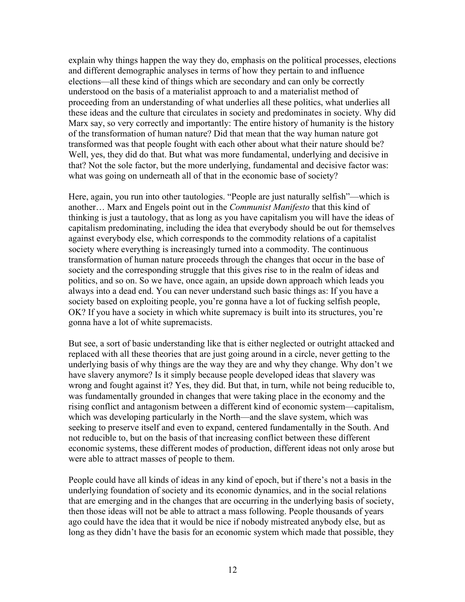explain why things happen the way they do, emphasis on the political processes, elections and different demographic analyses in terms of how they pertain to and influence elections—all these kind of things which are secondary and can only be correctly understood on the basis of a materialist approach to and a materialist method of proceeding from an understanding of what underlies all these politics, what underlies all these ideas and the culture that circulates in society and predominates in society. Why did Marx say, so very correctly and importantly: The entire history of humanity is the history of the transformation of human nature? Did that mean that the way human nature got transformed was that people fought with each other about what their nature should be? Well, yes, they did do that. But what was more fundamental, underlying and decisive in that? Not the sole factor, but the more underlying, fundamental and decisive factor was: what was going on underneath all of that in the economic base of society?

Here, again, you run into other tautologies. "People are just naturally selfish"—which is another… Marx and Engels point out in the *Communist Manifesto* that this kind of thinking is just a tautology, that as long as you have capitalism you will have the ideas of capitalism predominating, including the idea that everybody should be out for themselves against everybody else, which corresponds to the commodity relations of a capitalist society where everything is increasingly turned into a commodity. The continuous transformation of human nature proceeds through the changes that occur in the base of society and the corresponding struggle that this gives rise to in the realm of ideas and politics, and so on. So we have, once again, an upside down approach which leads you always into a dead end. You can never understand such basic things as: If you have a society based on exploiting people, you're gonna have a lot of fucking selfish people, OK? If you have a society in which white supremacy is built into its structures, you're gonna have a lot of white supremacists.

But see, a sort of basic understanding like that is either neglected or outright attacked and replaced with all these theories that are just going around in a circle, never getting to the underlying basis of why things are the way they are and why they change. Why don't we have slavery anymore? Is it simply because people developed ideas that slavery was wrong and fought against it? Yes, they did. But that, in turn, while not being reducible to, was fundamentally grounded in changes that were taking place in the economy and the rising conflict and antagonism between a different kind of economic system—capitalism, which was developing particularly in the North—and the slave system, which was seeking to preserve itself and even to expand, centered fundamentally in the South. And not reducible to, but on the basis of that increasing conflict between these different economic systems, these different modes of production, different ideas not only arose but were able to attract masses of people to them.

People could have all kinds of ideas in any kind of epoch, but if there's not a basis in the underlying foundation of society and its economic dynamics, and in the social relations that are emerging and in the changes that are occurring in the underlying basis of society, then those ideas will not be able to attract a mass following. People thousands of years ago could have the idea that it would be nice if nobody mistreated anybody else, but as long as they didn't have the basis for an economic system which made that possible, they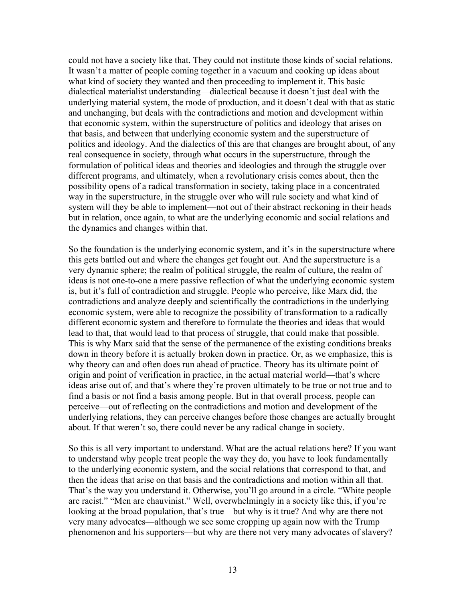could not have a society like that. They could not institute those kinds of social relations. It wasn't a matter of people coming together in a vacuum and cooking up ideas about what kind of society they wanted and then proceeding to implement it. This basic dialectical materialist understanding—dialectical because it doesn't just deal with the underlying material system, the mode of production, and it doesn't deal with that as static and unchanging, but deals with the contradictions and motion and development within that economic system, within the superstructure of politics and ideology that arises on that basis, and between that underlying economic system and the superstructure of politics and ideology. And the dialectics of this are that changes are brought about, of any real consequence in society, through what occurs in the superstructure, through the formulation of political ideas and theories and ideologies and through the struggle over different programs, and ultimately, when a revolutionary crisis comes about, then the possibility opens of a radical transformation in society, taking place in a concentrated way in the superstructure, in the struggle over who will rule society and what kind of system will they be able to implement—not out of their abstract reckoning in their heads but in relation, once again, to what are the underlying economic and social relations and the dynamics and changes within that.

So the foundation is the underlying economic system, and it's in the superstructure where this gets battled out and where the changes get fought out. And the superstructure is a very dynamic sphere; the realm of political struggle, the realm of culture, the realm of ideas is not one-to-one a mere passive reflection of what the underlying economic system is, but it's full of contradiction and struggle. People who perceive, like Marx did, the contradictions and analyze deeply and scientifically the contradictions in the underlying economic system, were able to recognize the possibility of transformation to a radically different economic system and therefore to formulate the theories and ideas that would lead to that, that would lead to that process of struggle, that could make that possible. This is why Marx said that the sense of the permanence of the existing conditions breaks down in theory before it is actually broken down in practice. Or, as we emphasize, this is why theory can and often does run ahead of practice. Theory has its ultimate point of origin and point of verification in practice, in the actual material world—that's where ideas arise out of, and that's where they're proven ultimately to be true or not true and to find a basis or not find a basis among people. But in that overall process, people can perceive—out of reflecting on the contradictions and motion and development of the underlying relations, they can perceive changes before those changes are actually brought about. If that weren't so, there could never be any radical change in society.

So this is all very important to understand. What are the actual relations here? If you want to understand why people treat people the way they do, you have to look fundamentally to the underlying economic system, and the social relations that correspond to that, and then the ideas that arise on that basis and the contradictions and motion within all that. That's the way you understand it. Otherwise, you'll go around in a circle. "White people are racist." "Men are chauvinist." Well, overwhelmingly in a society like this, if you're looking at the broad population, that's true—but why is it true? And why are there not very many advocates—although we see some cropping up again now with the Trump phenomenon and his supporters—but why are there not very many advocates of slavery?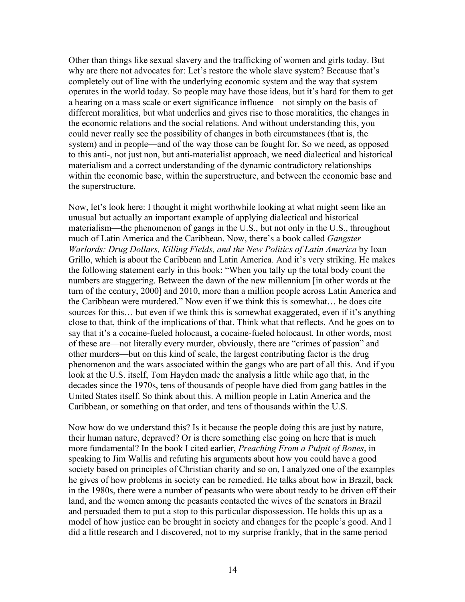Other than things like sexual slavery and the trafficking of women and girls today. But why are there not advocates for: Let's restore the whole slave system? Because that's completely out of line with the underlying economic system and the way that system operates in the world today. So people may have those ideas, but it's hard for them to get a hearing on a mass scale or exert significance influence—not simply on the basis of different moralities, but what underlies and gives rise to those moralities, the changes in the economic relations and the social relations. And without understanding this, you could never really see the possibility of changes in both circumstances (that is, the system) and in people—and of the way those can be fought for. So we need, as opposed to this anti-, not just non, but anti-materialist approach, we need dialectical and historical materialism and a correct understanding of the dynamic contradictory relationships within the economic base, within the superstructure, and between the economic base and the superstructure.

Now, let's look here: I thought it might worthwhile looking at what might seem like an unusual but actually an important example of applying dialectical and historical materialism—the phenomenon of gangs in the U.S., but not only in the U.S., throughout much of Latin America and the Caribbean. Now, there's a book called *Gangster Warlords: Drug Dollars, Killing Fields, and the New Politics of Latin America* by Ioan Grillo, which is about the Caribbean and Latin America. And it's very striking. He makes the following statement early in this book: "When you tally up the total body count the numbers are staggering. Between the dawn of the new millennium [in other words at the turn of the century, 2000] and 2010, more than a million people across Latin America and the Caribbean were murdered." Now even if we think this is somewhat… he does cite sources for this… but even if we think this is somewhat exaggerated, even if it's anything close to that, think of the implications of that. Think what that reflects. And he goes on to say that it's a cocaine-fueled holocaust, a cocaine-fueled holocaust. In other words, most of these are—not literally every murder, obviously, there are "crimes of passion" and other murders—but on this kind of scale, the largest contributing factor is the drug phenomenon and the wars associated within the gangs who are part of all this. And if you look at the U.S. itself, Tom Hayden made the analysis a little while ago that, in the decades since the 1970s, tens of thousands of people have died from gang battles in the United States itself. So think about this. A million people in Latin America and the Caribbean, or something on that order, and tens of thousands within the U.S.

Now how do we understand this? Is it because the people doing this are just by nature, their human nature, depraved? Or is there something else going on here that is much more fundamental? In the book I cited earlier, *Preaching From a Pulpit of Bones*, in speaking to Jim Wallis and refuting his arguments about how you could have a good society based on principles of Christian charity and so on, I analyzed one of the examples he gives of how problems in society can be remedied. He talks about how in Brazil, back in the 1980s, there were a number of peasants who were about ready to be driven off their land, and the women among the peasants contacted the wives of the senators in Brazil and persuaded them to put a stop to this particular dispossession. He holds this up as a model of how justice can be brought in society and changes for the people's good. And I did a little research and I discovered, not to my surprise frankly, that in the same period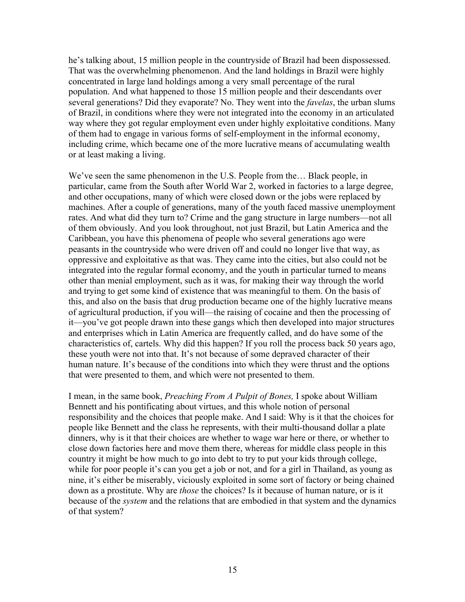he's talking about, 15 million people in the countryside of Brazil had been dispossessed. That was the overwhelming phenomenon. And the land holdings in Brazil were highly concentrated in large land holdings among a very small percentage of the rural population. And what happened to those 15 million people and their descendants over several generations? Did they evaporate? No. They went into the *favelas*, the urban slums of Brazil, in conditions where they were not integrated into the economy in an articulated way where they got regular employment even under highly exploitative conditions. Many of them had to engage in various forms of self-employment in the informal economy, including crime, which became one of the more lucrative means of accumulating wealth or at least making a living.

We've seen the same phenomenon in the U.S. People from the… Black people, in particular, came from the South after World War 2, worked in factories to a large degree, and other occupations, many of which were closed down or the jobs were replaced by machines. After a couple of generations, many of the youth faced massive unemployment rates. And what did they turn to? Crime and the gang structure in large numbers—not all of them obviously. And you look throughout, not just Brazil, but Latin America and the Caribbean, you have this phenomena of people who several generations ago were peasants in the countryside who were driven off and could no longer live that way, as oppressive and exploitative as that was. They came into the cities, but also could not be integrated into the regular formal economy, and the youth in particular turned to means other than menial employment, such as it was, for making their way through the world and trying to get some kind of existence that was meaningful to them. On the basis of this, and also on the basis that drug production became one of the highly lucrative means of agricultural production, if you will—the raising of cocaine and then the processing of it—you've got people drawn into these gangs which then developed into major structures and enterprises which in Latin America are frequently called, and do have some of the characteristics of, cartels. Why did this happen? If you roll the process back 50 years ago, these youth were not into that. It's not because of some depraved character of their human nature. It's because of the conditions into which they were thrust and the options that were presented to them, and which were not presented to them.

I mean, in the same book, *Preaching From A Pulpit of Bones,* I spoke about William Bennett and his pontificating about virtues, and this whole notion of personal responsibility and the choices that people make. And I said: Why is it that the choices for people like Bennett and the class he represents, with their multi-thousand dollar a plate dinners, why is it that their choices are whether to wage war here or there, or whether to close down factories here and move them there, whereas for middle class people in this country it might be how much to go into debt to try to put your kids through college, while for poor people it's can you get a job or not, and for a girl in Thailand, as young as nine, it's either be miserably, viciously exploited in some sort of factory or being chained down as a prostitute. Why are *those* the choices? Is it because of human nature, or is it because of the *system* and the relations that are embodied in that system and the dynamics of that system?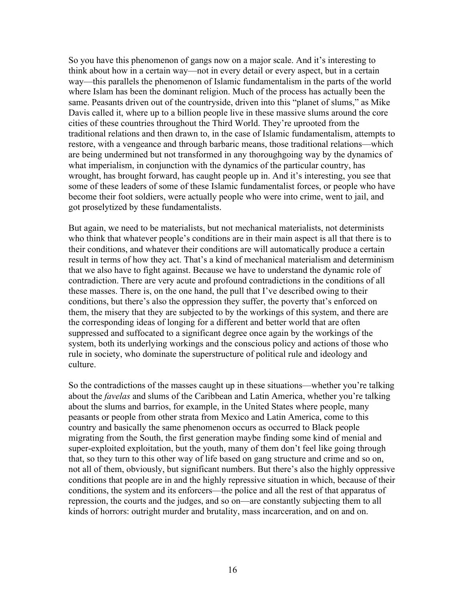So you have this phenomenon of gangs now on a major scale. And it's interesting to think about how in a certain way—not in every detail or every aspect, but in a certain way—this parallels the phenomenon of Islamic fundamentalism in the parts of the world where Islam has been the dominant religion. Much of the process has actually been the same. Peasants driven out of the countryside, driven into this "planet of slums," as Mike Davis called it, where up to a billion people live in these massive slums around the core cities of these countries throughout the Third World. They're uprooted from the traditional relations and then drawn to, in the case of Islamic fundamentalism, attempts to restore, with a vengeance and through barbaric means, those traditional relations—which are being undermined but not transformed in any thoroughgoing way by the dynamics of what imperialism, in conjunction with the dynamics of the particular country, has wrought, has brought forward, has caught people up in. And it's interesting, you see that some of these leaders of some of these Islamic fundamentalist forces, or people who have become their foot soldiers, were actually people who were into crime, went to jail, and got proselytized by these fundamentalists.

But again, we need to be materialists, but not mechanical materialists, not determinists who think that whatever people's conditions are in their main aspect is all that there is to their conditions, and whatever their conditions are will automatically produce a certain result in terms of how they act. That's a kind of mechanical materialism and determinism that we also have to fight against. Because we have to understand the dynamic role of contradiction. There are very acute and profound contradictions in the conditions of all these masses. There is, on the one hand, the pull that I've described owing to their conditions, but there's also the oppression they suffer, the poverty that's enforced on them, the misery that they are subjected to by the workings of this system, and there are the corresponding ideas of longing for a different and better world that are often suppressed and suffocated to a significant degree once again by the workings of the system, both its underlying workings and the conscious policy and actions of those who rule in society, who dominate the superstructure of political rule and ideology and culture.

So the contradictions of the masses caught up in these situations—whether you're talking about the *favelas* and slums of the Caribbean and Latin America, whether you're talking about the slums and barrios, for example, in the United States where people, many peasants or people from other strata from Mexico and Latin America, come to this country and basically the same phenomenon occurs as occurred to Black people migrating from the South, the first generation maybe finding some kind of menial and super-exploited exploitation, but the youth, many of them don't feel like going through that, so they turn to this other way of life based on gang structure and crime and so on, not all of them, obviously, but significant numbers. But there's also the highly oppressive conditions that people are in and the highly repressive situation in which, because of their conditions, the system and its enforcers—the police and all the rest of that apparatus of repression, the courts and the judges, and so on—are constantly subjecting them to all kinds of horrors: outright murder and brutality, mass incarceration, and on and on.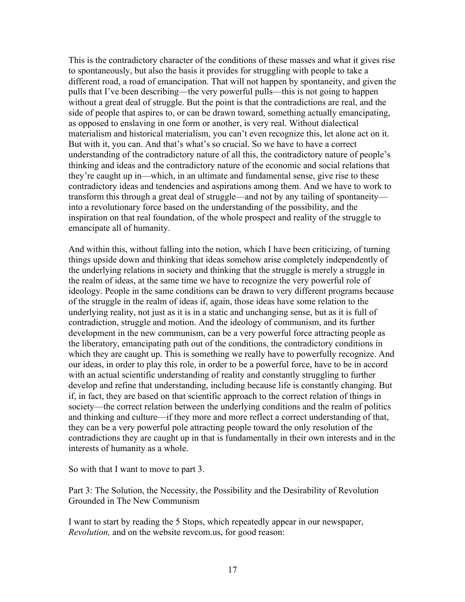This is the contradictory character of the conditions of these masses and what it gives rise to spontaneously, but also the basis it provides for struggling with people to take a different road, a road of emancipation. That will not happen by spontaneity, and given the pulls that I've been describing—the very powerful pulls—this is not going to happen without a great deal of struggle. But the point is that the contradictions are real, and the side of people that aspires to, or can be drawn toward, something actually emancipating, as opposed to enslaving in one form or another, is very real. Without dialectical materialism and historical materialism, you can't even recognize this, let alone act on it. But with it, you can. And that's what's so crucial. So we have to have a correct understanding of the contradictory nature of all this, the contradictory nature of people's thinking and ideas and the contradictory nature of the economic and social relations that they're caught up in—which, in an ultimate and fundamental sense, give rise to these contradictory ideas and tendencies and aspirations among them. And we have to work to transform this through a great deal of struggle—and not by any tailing of spontaneity into a revolutionary force based on the understanding of the possibility, and the inspiration on that real foundation, of the whole prospect and reality of the struggle to emancipate all of humanity.

And within this, without falling into the notion, which I have been criticizing, of turning things upside down and thinking that ideas somehow arise completely independently of the underlying relations in society and thinking that the struggle is merely a struggle in the realm of ideas, at the same time we have to recognize the very powerful role of ideology. People in the same conditions can be drawn to very different programs because of the struggle in the realm of ideas if, again, those ideas have some relation to the underlying reality, not just as it is in a static and unchanging sense, but as it is full of contradiction, struggle and motion. And the ideology of communism, and its further development in the new communism, can be a very powerful force attracting people as the liberatory, emancipating path out of the conditions, the contradictory conditions in which they are caught up. This is something we really have to powerfully recognize. And our ideas, in order to play this role, in order to be a powerful force, have to be in accord with an actual scientific understanding of reality and constantly struggling to further develop and refine that understanding, including because life is constantly changing. But if, in fact, they are based on that scientific approach to the correct relation of things in society—the correct relation between the underlying conditions and the realm of politics and thinking and culture—if they more and more reflect a correct understanding of that, they can be a very powerful pole attracting people toward the only resolution of the contradictions they are caught up in that is fundamentally in their own interests and in the interests of humanity as a whole.

So with that I want to move to part 3.

Part 3: The Solution, the Necessity, the Possibility and the Desirability of Revolution Grounded in The New Communism

I want to start by reading the 5 Stops, which repeatedly appear in our newspaper, *Revolution,* and on the website revcom.us, for good reason: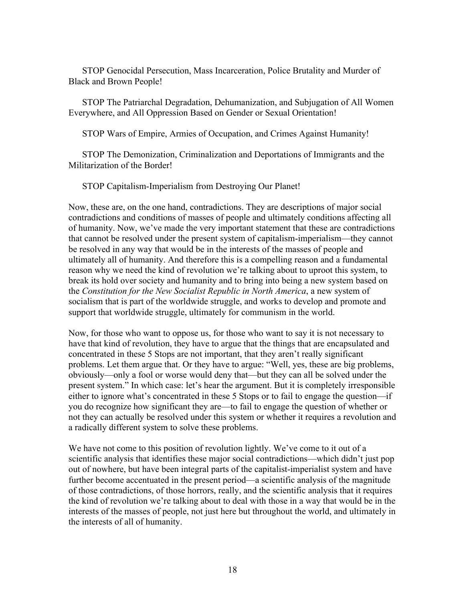STOP Genocidal Persecution, Mass Incarceration, Police Brutality and Murder of Black and Brown People!

STOP The Patriarchal Degradation, Dehumanization, and Subjugation of All Women Everywhere, and All Oppression Based on Gender or Sexual Orientation!

STOP Wars of Empire, Armies of Occupation, and Crimes Against Humanity!

STOP The Demonization, Criminalization and Deportations of Immigrants and the Militarization of the Border!

STOP Capitalism-Imperialism from Destroying Our Planet!

Now, these are, on the one hand, contradictions. They are descriptions of major social contradictions and conditions of masses of people and ultimately conditions affecting all of humanity. Now, we've made the very important statement that these are contradictions that cannot be resolved under the present system of capitalism-imperialism—they cannot be resolved in any way that would be in the interests of the masses of people and ultimately all of humanity. And therefore this is a compelling reason and a fundamental reason why we need the kind of revolution we're talking about to uproot this system, to break its hold over society and humanity and to bring into being a new system based on the *Constitution for the New Socialist Republic in North America*, a new system of socialism that is part of the worldwide struggle, and works to develop and promote and support that worldwide struggle, ultimately for communism in the world.

Now, for those who want to oppose us, for those who want to say it is not necessary to have that kind of revolution, they have to argue that the things that are encapsulated and concentrated in these 5 Stops are not important, that they aren't really significant problems. Let them argue that. Or they have to argue: "Well, yes, these are big problems, obviously—only a fool or worse would deny that—but they can all be solved under the present system." In which case: let's hear the argument. But it is completely irresponsible either to ignore what's concentrated in these 5 Stops or to fail to engage the question—if you do recognize how significant they are—to fail to engage the question of whether or not they can actually be resolved under this system or whether it requires a revolution and a radically different system to solve these problems.

We have not come to this position of revolution lightly. We've come to it out of a scientific analysis that identifies these major social contradictions—which didn't just pop out of nowhere, but have been integral parts of the capitalist-imperialist system and have further become accentuated in the present period—a scientific analysis of the magnitude of those contradictions, of those horrors, really, and the scientific analysis that it requires the kind of revolution we're talking about to deal with those in a way that would be in the interests of the masses of people, not just here but throughout the world, and ultimately in the interests of all of humanity.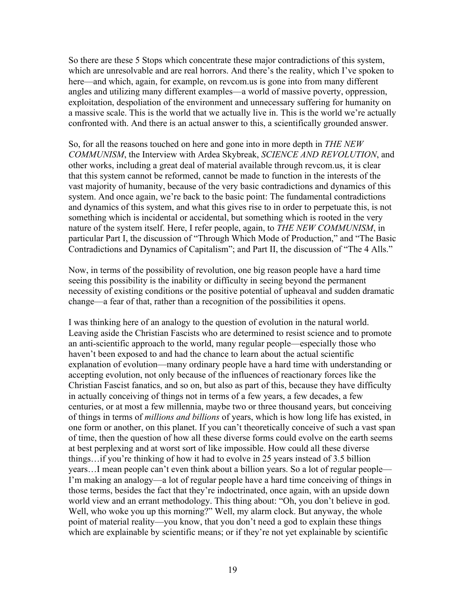So there are these 5 Stops which concentrate these major contradictions of this system, which are unresolvable and are real horrors. And there's the reality, which I've spoken to here—and which, again, for example, on revcom us is gone into from many different angles and utilizing many different examples—a world of massive poverty, oppression, exploitation, despoliation of the environment and unnecessary suffering for humanity on a massive scale. This is the world that we actually live in. This is the world we're actually confronted with. And there is an actual answer to this, a scientifically grounded answer.

So, for all the reasons touched on here and gone into in more depth in *THE NEW COMMUNISM*, the Interview with Ardea Skybreak, *SCIENCE AND REVOLUTION*, and other works, including a great deal of material available through revcom.us, it is clear that this system cannot be reformed, cannot be made to function in the interests of the vast majority of humanity, because of the very basic contradictions and dynamics of this system. And once again, we're back to the basic point: The fundamental contradictions and dynamics of this system, and what this gives rise to in order to perpetuate this, is not something which is incidental or accidental, but something which is rooted in the very nature of the system itself. Here, I refer people, again, to *THE NEW COMMUNISM*, in particular Part I, the discussion of "Through Which Mode of Production," and "The Basic Contradictions and Dynamics of Capitalism"; and Part II, the discussion of "The 4 Alls."

Now, in terms of the possibility of revolution, one big reason people have a hard time seeing this possibility is the inability or difficulty in seeing beyond the permanent necessity of existing conditions or the positive potential of upheaval and sudden dramatic change—a fear of that, rather than a recognition of the possibilities it opens.

I was thinking here of an analogy to the question of evolution in the natural world. Leaving aside the Christian Fascists who are determined to resist science and to promote an anti-scientific approach to the world, many regular people—especially those who haven't been exposed to and had the chance to learn about the actual scientific explanation of evolution—many ordinary people have a hard time with understanding or accepting evolution, not only because of the influences of reactionary forces like the Christian Fascist fanatics, and so on, but also as part of this, because they have difficulty in actually conceiving of things not in terms of a few years, a few decades, a few centuries, or at most a few millennia, maybe two or three thousand years, but conceiving of things in terms of *millions and billions* of years, which is how long life has existed, in one form or another, on this planet. If you can't theoretically conceive of such a vast span of time, then the question of how all these diverse forms could evolve on the earth seems at best perplexing and at worst sort of like impossible. How could all these diverse things…if you're thinking of how it had to evolve in 25 years instead of 3.5 billion years…I mean people can't even think about a billion years. So a lot of regular people— I'm making an analogy—a lot of regular people have a hard time conceiving of things in those terms, besides the fact that they're indoctrinated, once again, with an upside down world view and an errant methodology. This thing about: "Oh, you don't believe in god. Well, who woke you up this morning?" Well, my alarm clock. But anyway, the whole point of material reality—you know, that you don't need a god to explain these things which are explainable by scientific means; or if they're not yet explainable by scientific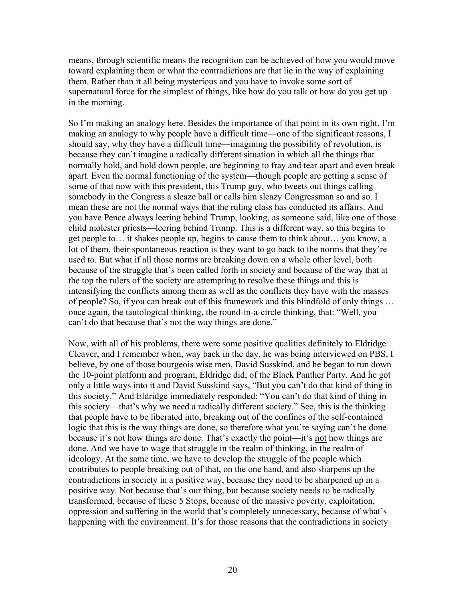means, through scientific means the recognition can be achieved of how you would move toward explaining them or what the contradictions are that lie in the way of explaining them. Rather than it all being mysterious and you have to invoke some sort of supernatural force for the simplest of things, like how do you talk or how do you get up in the morning.

So I'm making an analogy here. Besides the importance of that point in its own right. I'm making an analogy to why people have a difficult time—one of the significant reasons, I should say, why they have a difficult time—imagining the possibility of revolution, is because they can't imagine a radically different situation in which all the things that normally hold, and hold down people, are beginning to fray and tear apart and even break apart. Even the normal functioning of the system—though people are getting a sense of some of that now with this president, this Trump guy, who tweets out things calling somebody in the Congress a sleaze ball or calls him sleazy Congressman so and so. I mean these are not the normal ways that the ruling class has conducted its affairs. And you have Pence always leering behind Trump, looking, as someone said, like one of those child molester priests—leering behind Trump. This is a different way, so this begins to get people to… it shakes people up, begins to cause them to think about… you know, a lot of them, their spontaneous reaction is they want to go back to the norms that they're used to. But what if all those norms are breaking down on a whole other level, both because of the struggle that's been called forth in society and because of the way that at the top the rulers of the society are attempting to resolve these things and this is intensifying the conflicts among them as well as the conflicts they have with the masses of people? So, if you can break out of this framework and this blindfold of only things … once again, the tautological thinking, the round-in-a-circle thinking, that: "Well, you can't do that because that's not the way things are done."

Now, with all of his problems, there were some positive qualities definitely to Eldridge Cleaver, and I remember when, way back in the day, he was being interviewed on PBS, I believe, by one of those bourgeois wise men, David Susskind, and he began to run down the 10-point platform and program, Eldridge did, of the Black Panther Party. And he got only a little ways into it and David Susskind says, "But you can't do that kind of thing in this society." And Eldridge immediately responded: "You can't do that kind of thing in this society—that's why we need a radically different society." See, this is the thinking that people have to be liberated into, breaking out of the confines of the self-contained logic that this is the way things are done, so therefore what you're saying can't be done because it's not how things are done. That's exactly the point—it's not how things are done. And we have to wage that struggle in the realm of thinking, in the realm of ideology. At the same time, we have to develop the struggle of the people which contributes to people breaking out of that, on the one hand, and also sharpens up the contradictions in society in a positive way, because they need to be sharpened up in a positive way. Not because that's our thing, but because society needs to be radically transformed, because of these 5 Stops, because of the massive poverty, exploitation, oppression and suffering in the world that's completely unnecessary, because of what's happening with the environment. It's for those reasons that the contradictions in society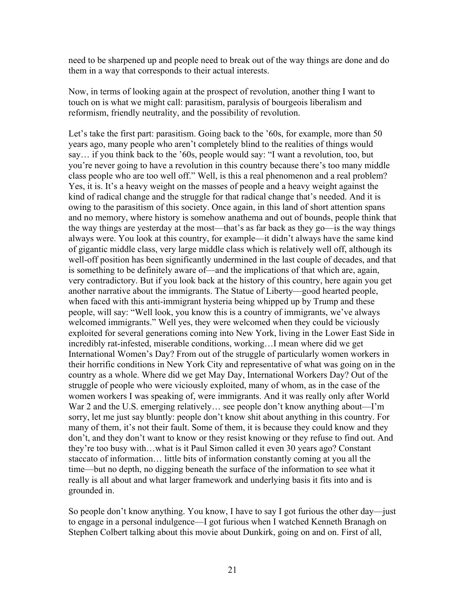need to be sharpened up and people need to break out of the way things are done and do them in a way that corresponds to their actual interests.

Now, in terms of looking again at the prospect of revolution, another thing I want to touch on is what we might call: parasitism, paralysis of bourgeois liberalism and reformism, friendly neutrality, and the possibility of revolution.

Let's take the first part: parasitism. Going back to the '60s, for example, more than 50 years ago, many people who aren't completely blind to the realities of things would say… if you think back to the '60s, people would say: "I want a revolution, too, but you're never going to have a revolution in this country because there's too many middle class people who are too well off." Well, is this a real phenomenon and a real problem? Yes, it is. It's a heavy weight on the masses of people and a heavy weight against the kind of radical change and the struggle for that radical change that's needed. And it is owing to the parasitism of this society. Once again, in this land of short attention spans and no memory, where history is somehow anathema and out of bounds, people think that the way things are yesterday at the most—that's as far back as they go—is the way things always were. You look at this country, for example—it didn't always have the same kind of gigantic middle class, very large middle class which is relatively well off, although its well-off position has been significantly undermined in the last couple of decades, and that is something to be definitely aware of—and the implications of that which are, again, very contradictory. But if you look back at the history of this country, here again you get another narrative about the immigrants. The Statue of Liberty—good hearted people, when faced with this anti-immigrant hysteria being whipped up by Trump and these people, will say: "Well look, you know this is a country of immigrants, we've always welcomed immigrants." Well yes, they were welcomed when they could be viciously exploited for several generations coming into New York, living in the Lower East Side in incredibly rat-infested, miserable conditions, working…I mean where did we get International Women's Day? From out of the struggle of particularly women workers in their horrific conditions in New York City and representative of what was going on in the country as a whole. Where did we get May Day, International Workers Day? Out of the struggle of people who were viciously exploited, many of whom, as in the case of the women workers I was speaking of, were immigrants. And it was really only after World War 2 and the U.S. emerging relatively... see people don't know anything about—I'm sorry, let me just say bluntly: people don't know shit about anything in this country. For many of them, it's not their fault. Some of them, it is because they could know and they don't, and they don't want to know or they resist knowing or they refuse to find out. And they're too busy with…what is it Paul Simon called it even 30 years ago? Constant staccato of information… little bits of information constantly coming at you all the time—but no depth, no digging beneath the surface of the information to see what it really is all about and what larger framework and underlying basis it fits into and is grounded in.

So people don't know anything. You know, I have to say I got furious the other day—just to engage in a personal indulgence—I got furious when I watched Kenneth Branagh on Stephen Colbert talking about this movie about Dunkirk, going on and on. First of all,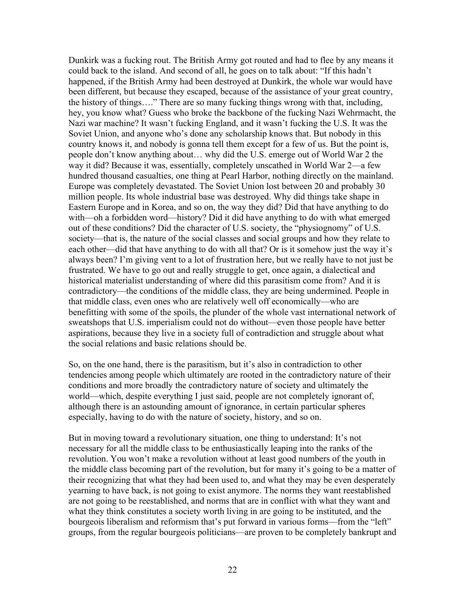Dunkirk was a fucking rout. The British Army got routed and had to flee by any means it could back to the island. And second of all, he goes on to talk about: "If this hadn't happened, if the British Army had been destroyed at Dunkirk, the whole war would have been different, but because they escaped, because of the assistance of your great country, the history of things…." There are so many fucking things wrong with that, including, hey, you know what? Guess who broke the backbone of the fucking Nazi Wehrmacht, the Nazi war machine? It wasn't fucking England, and it wasn't fucking the U.S. It was the Soviet Union, and anyone who's done any scholarship knows that. But nobody in this country knows it, and nobody is gonna tell them except for a few of us. But the point is, people don't know anything about… why did the U.S. emerge out of World War 2 the way it did? Because it was, essentially, completely unscathed in World War 2—a few hundred thousand casualties, one thing at Pearl Harbor, nothing directly on the mainland. Europe was completely devastated. The Soviet Union lost between 20 and probably 30 million people. Its whole industrial base was destroyed. Why did things take shape in Eastern Europe and in Korea, and so on, the way they did? Did that have anything to do with—oh a forbidden word—history? Did it did have anything to do with what emerged out of these conditions? Did the character of U.S. society, the "physiognomy" of U.S. society—that is, the nature of the social classes and social groups and how they relate to each other—did that have anything to do with all that? Or is it somehow just the way it's always been? I'm giving vent to a lot of frustration here, but we really have to not just be frustrated. We have to go out and really struggle to get, once again, a dialectical and historical materialist understanding of where did this parasitism come from? And it is contradictory—the conditions of the middle class, they are being undermined. People in that middle class, even ones who are relatively well off economically—who are benefitting with some of the spoils, the plunder of the whole vast international network of sweatshops that U.S. imperialism could not do without—even those people have better aspirations, because they live in a society full of contradiction and struggle about what the social relations and basic relations should be.

So, on the one hand, there is the parasitism, but it's also in contradiction to other tendencies among people which ultimately are rooted in the contradictory nature of their conditions and more broadly the contradictory nature of society and ultimately the world—which, despite everything I just said, people are not completely ignorant of, although there is an astounding amount of ignorance, in certain particular spheres especially, having to do with the nature of society, history, and so on.

But in moving toward a revolutionary situation, one thing to understand: It's not necessary for all the middle class to be enthusiastically leaping into the ranks of the revolution. You won't make a revolution without at least good numbers of the youth in the middle class becoming part of the revolution, but for many it's going to be a matter of their recognizing that what they had been used to, and what they may be even desperately yearning to have back, is not going to exist anymore. The norms they want reestablished are not going to be reestablished, and norms that are in conflict with what they want and what they think constitutes a society worth living in are going to be instituted, and the bourgeois liberalism and reformism that's put forward in various forms—from the "left" groups, from the regular bourgeois politicians—are proven to be completely bankrupt and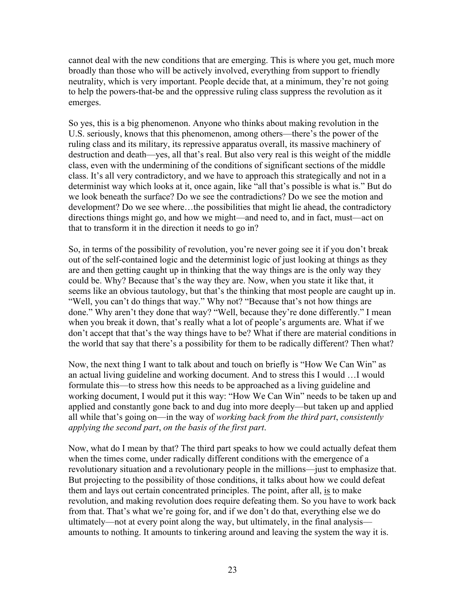cannot deal with the new conditions that are emerging. This is where you get, much more broadly than those who will be actively involved, everything from support to friendly neutrality, which is very important. People decide that, at a minimum, they're not going to help the powers-that-be and the oppressive ruling class suppress the revolution as it emerges.

So yes, this is a big phenomenon. Anyone who thinks about making revolution in the U.S. seriously, knows that this phenomenon, among others—there's the power of the ruling class and its military, its repressive apparatus overall, its massive machinery of destruction and death—yes, all that's real. But also very real is this weight of the middle class, even with the undermining of the conditions of significant sections of the middle class. It's all very contradictory, and we have to approach this strategically and not in a determinist way which looks at it, once again, like "all that's possible is what is." But do we look beneath the surface? Do we see the contradictions? Do we see the motion and development? Do we see where…the possibilities that might lie ahead, the contradictory directions things might go, and how we might—and need to, and in fact, must—act on that to transform it in the direction it needs to go in?

So, in terms of the possibility of revolution, you're never going see it if you don't break out of the self-contained logic and the determinist logic of just looking at things as they are and then getting caught up in thinking that the way things are is the only way they could be. Why? Because that's the way they are. Now, when you state it like that, it seems like an obvious tautology, but that's the thinking that most people are caught up in. "Well, you can't do things that way." Why not? "Because that's not how things are done." Why aren't they done that way? "Well, because they're done differently." I mean when you break it down, that's really what a lot of people's arguments are. What if we don't accept that that's the way things have to be? What if there are material conditions in the world that say that there's a possibility for them to be radically different? Then what?

Now, the next thing I want to talk about and touch on briefly is "How We Can Win" as an actual living guideline and working document. And to stress this I would …I would formulate this—to stress how this needs to be approached as a living guideline and working document, I would put it this way: "How We Can Win" needs to be taken up and applied and constantly gone back to and dug into more deeply—but taken up and applied all while that's going on—in the way of *working back from the third part*, *consistently applying the second part*, *on the basis of the first part*.

Now, what do I mean by that? The third part speaks to how we could actually defeat them when the times come, under radically different conditions with the emergence of a revolutionary situation and a revolutionary people in the millions—just to emphasize that. But projecting to the possibility of those conditions, it talks about how we could defeat them and lays out certain concentrated principles. The point, after all, is to make revolution, and making revolution does require defeating them. So you have to work back from that. That's what we're going for, and if we don't do that, everything else we do ultimately—not at every point along the way, but ultimately, in the final analysis amounts to nothing. It amounts to tinkering around and leaving the system the way it is.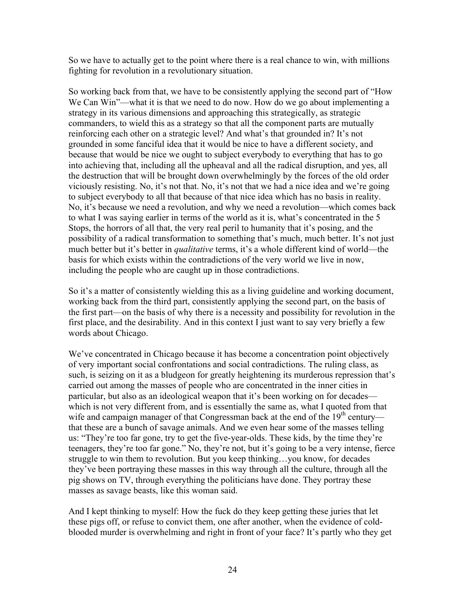So we have to actually get to the point where there is a real chance to win, with millions fighting for revolution in a revolutionary situation.

So working back from that, we have to be consistently applying the second part of "How We Can Win"—what it is that we need to do now. How do we go about implementing a strategy in its various dimensions and approaching this strategically, as strategic commanders, to wield this as a strategy so that all the component parts are mutually reinforcing each other on a strategic level? And what's that grounded in? It's not grounded in some fanciful idea that it would be nice to have a different society, and because that would be nice we ought to subject everybody to everything that has to go into achieving that, including all the upheaval and all the radical disruption, and yes, all the destruction that will be brought down overwhelmingly by the forces of the old order viciously resisting. No, it's not that. No, it's not that we had a nice idea and we're going to subject everybody to all that because of that nice idea which has no basis in reality. No, it's because we need a revolution, and why we need a revolution—which comes back to what I was saying earlier in terms of the world as it is, what's concentrated in the 5 Stops, the horrors of all that, the very real peril to humanity that it's posing, and the possibility of a radical transformation to something that's much, much better. It's not just much better but it's better in *qualitative* terms, it's a whole different kind of world—the basis for which exists within the contradictions of the very world we live in now, including the people who are caught up in those contradictions.

So it's a matter of consistently wielding this as a living guideline and working document, working back from the third part, consistently applying the second part, on the basis of the first part—on the basis of why there is a necessity and possibility for revolution in the first place, and the desirability. And in this context I just want to say very briefly a few words about Chicago.

We've concentrated in Chicago because it has become a concentration point objectively of very important social confrontations and social contradictions. The ruling class, as such, is seizing on it as a bludgeon for greatly heightening its murderous repression that's carried out among the masses of people who are concentrated in the inner cities in particular, but also as an ideological weapon that it's been working on for decades which is not very different from, and is essentially the same as, what I quoted from that wife and campaign manager of that Congressman back at the end of the  $19<sup>th</sup>$  century that these are a bunch of savage animals. And we even hear some of the masses telling us: "They're too far gone, try to get the five-year-olds. These kids, by the time they're teenagers, they're too far gone." No, they're not, but it's going to be a very intense, fierce struggle to win them to revolution. But you keep thinking…you know, for decades they've been portraying these masses in this way through all the culture, through all the pig shows on TV, through everything the politicians have done. They portray these masses as savage beasts, like this woman said.

And I kept thinking to myself: How the fuck do they keep getting these juries that let these pigs off, or refuse to convict them, one after another, when the evidence of coldblooded murder is overwhelming and right in front of your face? It's partly who they get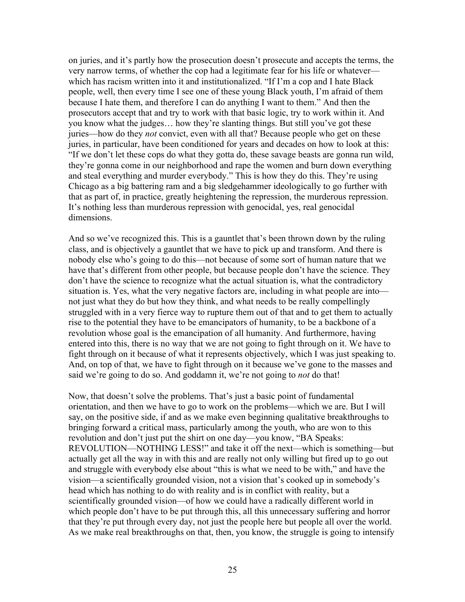on juries, and it's partly how the prosecution doesn't prosecute and accepts the terms, the very narrow terms, of whether the cop had a legitimate fear for his life or whatever which has racism written into it and institutionalized. "If I'm a cop and I hate Black people, well, then every time I see one of these young Black youth, I'm afraid of them because I hate them, and therefore I can do anything I want to them." And then the prosecutors accept that and try to work with that basic logic, try to work within it. And you know what the judges… how they're slanting things. But still you've got these juries—how do they *not* convict, even with all that? Because people who get on these juries, in particular, have been conditioned for years and decades on how to look at this: "If we don't let these cops do what they gotta do, these savage beasts are gonna run wild, they're gonna come in our neighborhood and rape the women and burn down everything and steal everything and murder everybody." This is how they do this. They're using Chicago as a big battering ram and a big sledgehammer ideologically to go further with that as part of, in practice, greatly heightening the repression, the murderous repression. It's nothing less than murderous repression with genocidal, yes, real genocidal dimensions.

And so we've recognized this. This is a gauntlet that's been thrown down by the ruling class, and is objectively a gauntlet that we have to pick up and transform. And there is nobody else who's going to do this—not because of some sort of human nature that we have that's different from other people, but because people don't have the science. They don't have the science to recognize what the actual situation is, what the contradictory situation is. Yes, what the very negative factors are, including in what people are into not just what they do but how they think, and what needs to be really compellingly struggled with in a very fierce way to rupture them out of that and to get them to actually rise to the potential they have to be emancipators of humanity, to be a backbone of a revolution whose goal is the emancipation of all humanity. And furthermore, having entered into this, there is no way that we are not going to fight through on it. We have to fight through on it because of what it represents objectively, which I was just speaking to. And, on top of that, we have to fight through on it because we've gone to the masses and said we're going to do so. And goddamn it, we're not going to *not* do that!

Now, that doesn't solve the problems. That's just a basic point of fundamental orientation, and then we have to go to work on the problems—which we are. But I will say, on the positive side, if and as we make even beginning qualitative breakthroughs to bringing forward a critical mass, particularly among the youth, who are won to this revolution and don't just put the shirt on one day—you know, "BA Speaks: REVOLUTION—NOTHING LESS!" and take it off the next—which is something—but actually get all the way in with this and are really not only willing but fired up to go out and struggle with everybody else about "this is what we need to be with," and have the vision—a scientifically grounded vision, not a vision that's cooked up in somebody's head which has nothing to do with reality and is in conflict with reality, but a scientifically grounded vision—of how we could have a radically different world in which people don't have to be put through this, all this unnecessary suffering and horror that they're put through every day, not just the people here but people all over the world. As we make real breakthroughs on that, then, you know, the struggle is going to intensify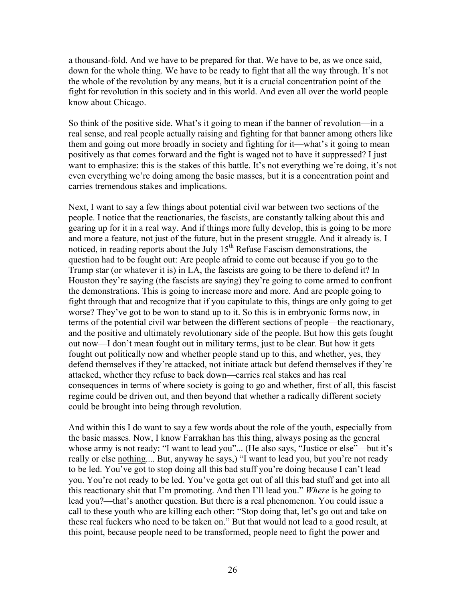a thousand-fold. And we have to be prepared for that. We have to be, as we once said, down for the whole thing. We have to be ready to fight that all the way through. It's not the whole of the revolution by any means, but it is a crucial concentration point of the fight for revolution in this society and in this world. And even all over the world people know about Chicago.

So think of the positive side. What's it going to mean if the banner of revolution—in a real sense, and real people actually raising and fighting for that banner among others like them and going out more broadly in society and fighting for it—what's it going to mean positively as that comes forward and the fight is waged not to have it suppressed? I just want to emphasize: this is the stakes of this battle. It's not everything we're doing, it's not even everything we're doing among the basic masses, but it is a concentration point and carries tremendous stakes and implications.

Next, I want to say a few things about potential civil war between two sections of the people. I notice that the reactionaries, the fascists, are constantly talking about this and gearing up for it in a real way. And if things more fully develop, this is going to be more and more a feature, not just of the future, but in the present struggle. And it already is. I noticed, in reading reports about the July  $15<sup>th</sup>$  Refuse Fascism demonstrations, the question had to be fought out: Are people afraid to come out because if you go to the Trump star (or whatever it is) in LA, the fascists are going to be there to defend it? In Houston they're saying (the fascists are saying) they're going to come armed to confront the demonstrations. This is going to increase more and more. And are people going to fight through that and recognize that if you capitulate to this, things are only going to get worse? They've got to be won to stand up to it. So this is in embryonic forms now, in terms of the potential civil war between the different sections of people—the reactionary, and the positive and ultimately revolutionary side of the people. But how this gets fought out now—I don't mean fought out in military terms, just to be clear. But how it gets fought out politically now and whether people stand up to this, and whether, yes, they defend themselves if they're attacked, not initiate attack but defend themselves if they're attacked, whether they refuse to back down—carries real stakes and has real consequences in terms of where society is going to go and whether, first of all, this fascist regime could be driven out, and then beyond that whether a radically different society could be brought into being through revolution.

And within this I do want to say a few words about the role of the youth, especially from the basic masses. Now, I know Farrakhan has this thing, always posing as the general whose army is not ready: "I want to lead you"... (He also says, "Justice or else"—but it's really or else nothing.... But, anyway he says,) "I want to lead you, but you're not ready to be led. You've got to stop doing all this bad stuff you're doing because I can't lead you. You're not ready to be led. You've gotta get out of all this bad stuff and get into all this reactionary shit that I'm promoting. And then I'll lead you." *Where* is he going to lead you?—that's another question. But there is a real phenomenon. You could issue a call to these youth who are killing each other: "Stop doing that, let's go out and take on these real fuckers who need to be taken on." But that would not lead to a good result, at this point, because people need to be transformed, people need to fight the power and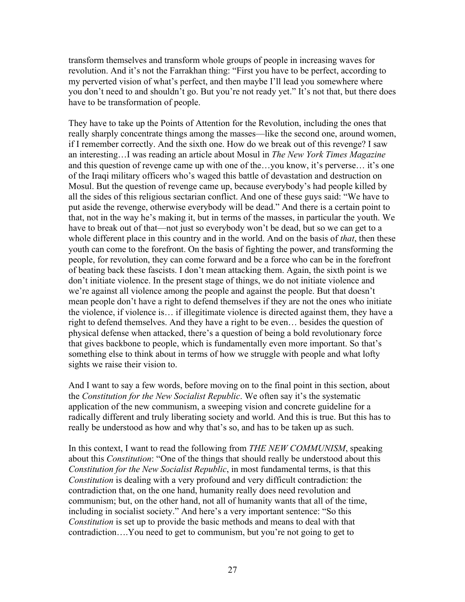transform themselves and transform whole groups of people in increasing waves for revolution. And it's not the Farrakhan thing: "First you have to be perfect, according to my perverted vision of what's perfect, and then maybe I'll lead you somewhere where you don't need to and shouldn't go. But you're not ready yet." It's not that, but there does have to be transformation of people.

They have to take up the Points of Attention for the Revolution, including the ones that really sharply concentrate things among the masses—like the second one, around women, if I remember correctly. And the sixth one. How do we break out of this revenge? I saw an interesting…I was reading an article about Mosul in *The New York Times Magazine*  and this question of revenge came up with one of the…you know, it's perverse… it's one of the Iraqi military officers who's waged this battle of devastation and destruction on Mosul. But the question of revenge came up, because everybody's had people killed by all the sides of this religious sectarian conflict. And one of these guys said: "We have to put aside the revenge, otherwise everybody will be dead." And there is a certain point to that, not in the way he's making it, but in terms of the masses, in particular the youth. We have to break out of that—not just so everybody won't be dead, but so we can get to a whole different place in this country and in the world. And on the basis of *that*, then these youth can come to the forefront. On the basis of fighting the power, and transforming the people, for revolution, they can come forward and be a force who can be in the forefront of beating back these fascists. I don't mean attacking them. Again, the sixth point is we don't initiate violence. In the present stage of things, we do not initiate violence and we're against all violence among the people and against the people. But that doesn't mean people don't have a right to defend themselves if they are not the ones who initiate the violence, if violence is… if illegitimate violence is directed against them, they have a right to defend themselves. And they have a right to be even… besides the question of physical defense when attacked, there's a question of being a bold revolutionary force that gives backbone to people, which is fundamentally even more important. So that's something else to think about in terms of how we struggle with people and what lofty sights we raise their vision to.

And I want to say a few words, before moving on to the final point in this section, about the *Constitution for the New Socialist Republic*. We often say it's the systematic application of the new communism, a sweeping vision and concrete guideline for a radically different and truly liberating society and world. And this is true. But this has to really be understood as how and why that's so, and has to be taken up as such.

In this context, I want to read the following from *THE NEW COMMUNISM*, speaking about this *Constitution*: "One of the things that should really be understood about this *Constitution for the New Socialist Republic*, in most fundamental terms, is that this *Constitution* is dealing with a very profound and very difficult contradiction: the contradiction that, on the one hand, humanity really does need revolution and communism; but, on the other hand, not all of humanity wants that all of the time, including in socialist society." And here's a very important sentence: "So this *Constitution* is set up to provide the basic methods and means to deal with that contradiction….You need to get to communism, but you're not going to get to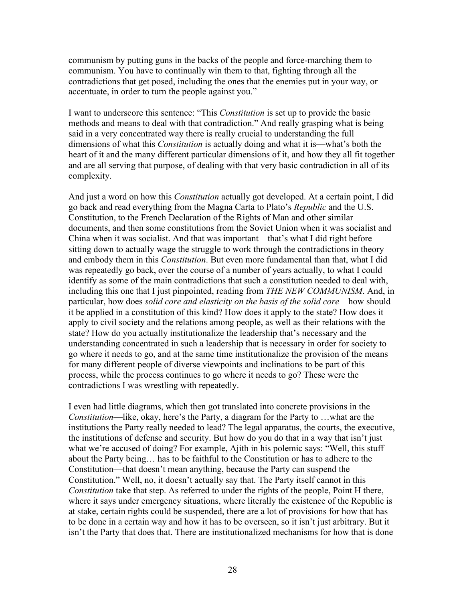communism by putting guns in the backs of the people and force-marching them to communism. You have to continually win them to that, fighting through all the contradictions that get posed, including the ones that the enemies put in your way, or accentuate, in order to turn the people against you."

I want to underscore this sentence: "This *Constitution* is set up to provide the basic methods and means to deal with that contradiction." And really grasping what is being said in a very concentrated way there is really crucial to understanding the full dimensions of what this *Constitution* is actually doing and what it is—what's both the heart of it and the many different particular dimensions of it, and how they all fit together and are all serving that purpose, of dealing with that very basic contradiction in all of its complexity.

And just a word on how this *Constitution* actually got developed. At a certain point, I did go back and read everything from the Magna Carta to Plato's *Republic* and the U.S. Constitution, to the French Declaration of the Rights of Man and other similar documents, and then some constitutions from the Soviet Union when it was socialist and China when it was socialist. And that was important—that's what I did right before sitting down to actually wage the struggle to work through the contradictions in theory and embody them in this *Constitution*. But even more fundamental than that, what I did was repeatedly go back, over the course of a number of years actually, to what I could identify as some of the main contradictions that such a constitution needed to deal with, including this one that I just pinpointed, reading from *THE NEW COMMUNISM*. And, in particular, how does *solid core and elasticity on the basis of the solid core*—how should it be applied in a constitution of this kind? How does it apply to the state? How does it apply to civil society and the relations among people, as well as their relations with the state? How do you actually institutionalize the leadership that's necessary and the understanding concentrated in such a leadership that is necessary in order for society to go where it needs to go, and at the same time institutionalize the provision of the means for many different people of diverse viewpoints and inclinations to be part of this process, while the process continues to go where it needs to go? These were the contradictions I was wrestling with repeatedly.

I even had little diagrams, which then got translated into concrete provisions in the *Constitution*—like, okay, here's the Party, a diagram for the Party to …what are the institutions the Party really needed to lead? The legal apparatus, the courts, the executive, the institutions of defense and security. But how do you do that in a way that isn't just what we're accused of doing? For example, Ajith in his polemic says: "Well, this stuff about the Party being… has to be faithful to the Constitution or has to adhere to the Constitution—that doesn't mean anything, because the Party can suspend the Constitution." Well, no, it doesn't actually say that. The Party itself cannot in this *Constitution* take that step. As referred to under the rights of the people, Point H there, where it says under emergency situations, where literally the existence of the Republic is at stake, certain rights could be suspended, there are a lot of provisions for how that has to be done in a certain way and how it has to be overseen, so it isn't just arbitrary. But it isn't the Party that does that. There are institutionalized mechanisms for how that is done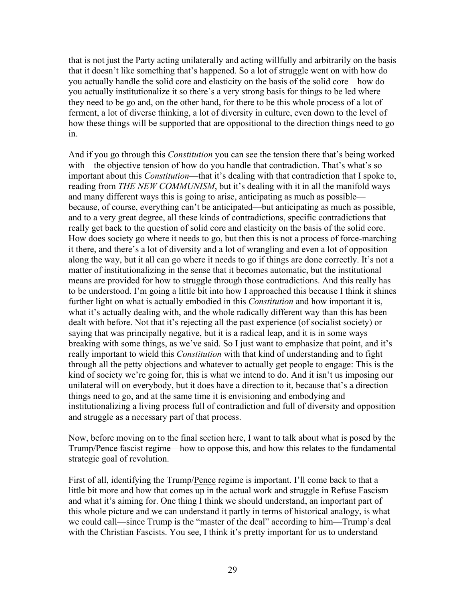that is not just the Party acting unilaterally and acting willfully and arbitrarily on the basis that it doesn't like something that's happened. So a lot of struggle went on with how do you actually handle the solid core and elasticity on the basis of the solid core—how do you actually institutionalize it so there's a very strong basis for things to be led where they need to be go and, on the other hand, for there to be this whole process of a lot of ferment, a lot of diverse thinking, a lot of diversity in culture, even down to the level of how these things will be supported that are oppositional to the direction things need to go in.

And if you go through this *Constitution* you can see the tension there that's being worked with—the objective tension of how do you handle that contradiction. That's what's so important about this *Constitution*—that it's dealing with that contradiction that I spoke to, reading from *THE NEW COMMUNISM*, but it's dealing with it in all the manifold ways and many different ways this is going to arise, anticipating as much as possible because, of course, everything can't be anticipated—but anticipating as much as possible, and to a very great degree, all these kinds of contradictions, specific contradictions that really get back to the question of solid core and elasticity on the basis of the solid core. How does society go where it needs to go, but then this is not a process of force-marching it there, and there's a lot of diversity and a lot of wrangling and even a lot of opposition along the way, but it all can go where it needs to go if things are done correctly. It's not a matter of institutionalizing in the sense that it becomes automatic, but the institutional means are provided for how to struggle through those contradictions. And this really has to be understood. I'm going a little bit into how I approached this because I think it shines further light on what is actually embodied in this *Constitution* and how important it is, what it's actually dealing with, and the whole radically different way than this has been dealt with before. Not that it's rejecting all the past experience (of socialist society) or saying that was principally negative, but it is a radical leap, and it is in some ways breaking with some things, as we've said. So I just want to emphasize that point, and it's really important to wield this *Constitution* with that kind of understanding and to fight through all the petty objections and whatever to actually get people to engage: This is the kind of society we're going for, this is what we intend to do. And it isn't us imposing our unilateral will on everybody, but it does have a direction to it, because that's a direction things need to go, and at the same time it is envisioning and embodying and institutionalizing a living process full of contradiction and full of diversity and opposition and struggle as a necessary part of that process.

Now, before moving on to the final section here, I want to talk about what is posed by the Trump/Pence fascist regime—how to oppose this, and how this relates to the fundamental strategic goal of revolution.

First of all, identifying the Trump/Pence regime is important. I'll come back to that a little bit more and how that comes up in the actual work and struggle in Refuse Fascism and what it's aiming for. One thing I think we should understand, an important part of this whole picture and we can understand it partly in terms of historical analogy, is what we could call—since Trump is the "master of the deal" according to him—Trump's deal with the Christian Fascists. You see, I think it's pretty important for us to understand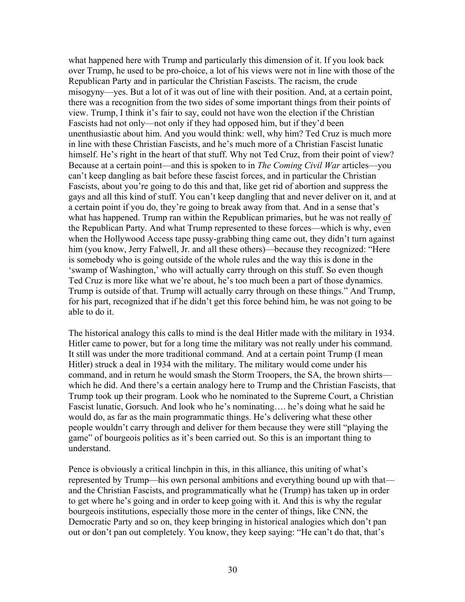what happened here with Trump and particularly this dimension of it. If you look back over Trump, he used to be pro-choice, a lot of his views were not in line with those of the Republican Party and in particular the Christian Fascists. The racism, the crude misogyny—yes. But a lot of it was out of line with their position. And, at a certain point, there was a recognition from the two sides of some important things from their points of view. Trump, I think it's fair to say, could not have won the election if the Christian Fascists had not only—not only if they had opposed him, but if they'd been unenthusiastic about him. And you would think: well, why him? Ted Cruz is much more in line with these Christian Fascists, and he's much more of a Christian Fascist lunatic himself. He's right in the heart of that stuff. Why not Ted Cruz, from their point of view? Because at a certain point—and this is spoken to in *The Coming Civil War* articles—you can't keep dangling as bait before these fascist forces, and in particular the Christian Fascists, about you're going to do this and that, like get rid of abortion and suppress the gays and all this kind of stuff. You can't keep dangling that and never deliver on it, and at a certain point if you do, they're going to break away from that. And in a sense that's what has happened. Trump ran within the Republican primaries, but he was not really of the Republican Party. And what Trump represented to these forces—which is why, even when the Hollywood Access tape pussy-grabbing thing came out, they didn't turn against him (you know, Jerry Falwell, Jr. and all these others)—because they recognized: "Here is somebody who is going outside of the whole rules and the way this is done in the 'swamp of Washington,' who will actually carry through on this stuff. So even though Ted Cruz is more like what we're about, he's too much been a part of those dynamics. Trump is outside of that. Trump will actually carry through on these things." And Trump, for his part, recognized that if he didn't get this force behind him, he was not going to be able to do it.

The historical analogy this calls to mind is the deal Hitler made with the military in 1934. Hitler came to power, but for a long time the military was not really under his command. It still was under the more traditional command. And at a certain point Trump (I mean Hitler) struck a deal in 1934 with the military. The military would come under his command, and in return he would smash the Storm Troopers, the SA, the brown shirts which he did. And there's a certain analogy here to Trump and the Christian Fascists, that Trump took up their program. Look who he nominated to the Supreme Court, a Christian Fascist lunatic, Gorsuch. And look who he's nominating…. he's doing what he said he would do, as far as the main programmatic things. He's delivering what these other people wouldn't carry through and deliver for them because they were still "playing the game" of bourgeois politics as it's been carried out. So this is an important thing to understand.

Pence is obviously a critical linchpin in this, in this alliance, this uniting of what's represented by Trump—his own personal ambitions and everything bound up with that and the Christian Fascists, and programmatically what he (Trump) has taken up in order to get where he's going and in order to keep going with it. And this is why the regular bourgeois institutions, especially those more in the center of things, like CNN, the Democratic Party and so on, they keep bringing in historical analogies which don't pan out or don't pan out completely. You know, they keep saying: "He can't do that, that's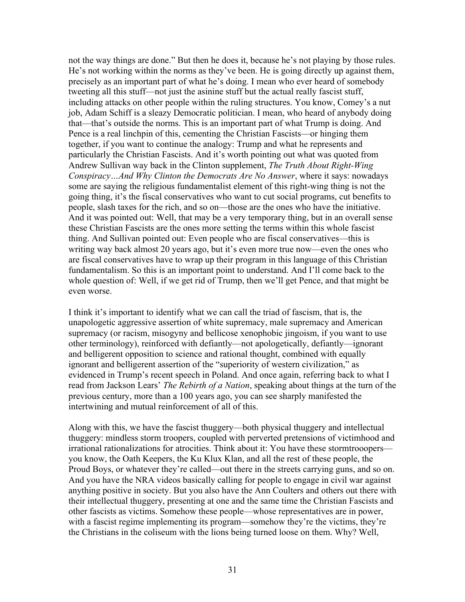not the way things are done." But then he does it, because he's not playing by those rules. He's not working within the norms as they've been. He is going directly up against them, precisely as an important part of what he's doing. I mean who ever heard of somebody tweeting all this stuff—not just the asinine stuff but the actual really fascist stuff, including attacks on other people within the ruling structures. You know, Comey's a nut job, Adam Schiff is a sleazy Democratic politician. I mean, who heard of anybody doing that—that's outside the norms. This is an important part of what Trump is doing. And Pence is a real linchpin of this, cementing the Christian Fascists—or hinging them together, if you want to continue the analogy: Trump and what he represents and particularly the Christian Fascists. And it's worth pointing out what was quoted from Andrew Sullivan way back in the Clinton supplement, *The Truth About Right-Wing Conspiracy…And Why Clinton the Democrats Are No Answer*, where it says: nowadays some are saying the religious fundamentalist element of this right-wing thing is not the going thing, it's the fiscal conservatives who want to cut social programs, cut benefits to people, slash taxes for the rich, and so on—those are the ones who have the initiative. And it was pointed out: Well, that may be a very temporary thing, but in an overall sense these Christian Fascists are the ones more setting the terms within this whole fascist thing. And Sullivan pointed out: Even people who are fiscal conservatives—this is writing way back almost 20 years ago, but it's even more true now—even the ones who are fiscal conservatives have to wrap up their program in this language of this Christian fundamentalism. So this is an important point to understand. And I'll come back to the whole question of: Well, if we get rid of Trump, then we'll get Pence, and that might be even worse.

I think it's important to identify what we can call the triad of fascism, that is, the unapologetic aggressive assertion of white supremacy, male supremacy and American supremacy (or racism, misogyny and bellicose xenophobic jingoism, if you want to use other terminology), reinforced with defiantly—not apologetically, defiantly—ignorant and belligerent opposition to science and rational thought, combined with equally ignorant and belligerent assertion of the "superiority of western civilization," as evidenced in Trump's recent speech in Poland. And once again, referring back to what I read from Jackson Lears' *The Rebirth of a Nation*, speaking about things at the turn of the previous century, more than a 100 years ago, you can see sharply manifested the intertwining and mutual reinforcement of all of this.

Along with this, we have the fascist thuggery—both physical thuggery and intellectual thuggery: mindless storm troopers, coupled with perverted pretensions of victimhood and irrational rationalizations for atrocities. Think about it: You have these stormtrooopers you know, the Oath Keepers, the Ku Klux Klan, and all the rest of these people, the Proud Boys, or whatever they're called—out there in the streets carrying guns, and so on. And you have the NRA videos basically calling for people to engage in civil war against anything positive in society. But you also have the Ann Coulters and others out there with their intellectual thuggery, presenting at one and the same time the Christian Fascists and other fascists as victims. Somehow these people—whose representatives are in power, with a fascist regime implementing its program—somehow they're the victims, they're the Christians in the coliseum with the lions being turned loose on them. Why? Well,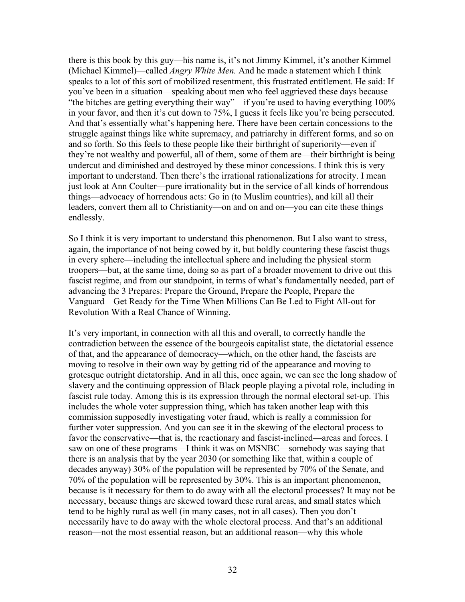there is this book by this guy—his name is, it's not Jimmy Kimmel, it's another Kimmel (Michael Kimmel)—called *Angry White Men.* And he made a statement which I think speaks to a lot of this sort of mobilized resentment, this frustrated entitlement. He said: If you've been in a situation—speaking about men who feel aggrieved these days because "the bitches are getting everything their way"—if you're used to having everything 100% in your favor, and then it's cut down to 75%, I guess it feels like you're being persecuted. And that's essentially what's happening here. There have been certain concessions to the struggle against things like white supremacy, and patriarchy in different forms, and so on and so forth. So this feels to these people like their birthright of superiority—even if they're not wealthy and powerful, all of them, some of them are—their birthright is being undercut and diminished and destroyed by these minor concessions. I think this is very important to understand. Then there's the irrational rationalizations for atrocity. I mean just look at Ann Coulter—pure irrationality but in the service of all kinds of horrendous things—advocacy of horrendous acts: Go in (to Muslim countries), and kill all their leaders, convert them all to Christianity—on and on and on—you can cite these things endlessly.

So I think it is very important to understand this phenomenon. But I also want to stress, again, the importance of not being cowed by it, but boldly countering these fascist thugs in every sphere—including the intellectual sphere and including the physical storm troopers—but, at the same time, doing so as part of a broader movement to drive out this fascist regime, and from our standpoint, in terms of what's fundamentally needed, part of advancing the 3 Prepares: Prepare the Ground, Prepare the People, Prepare the Vanguard—Get Ready for the Time When Millions Can Be Led to Fight All-out for Revolution With a Real Chance of Winning.

It's very important, in connection with all this and overall, to correctly handle the contradiction between the essence of the bourgeois capitalist state, the dictatorial essence of that, and the appearance of democracy—which, on the other hand, the fascists are moving to resolve in their own way by getting rid of the appearance and moving to grotesque outright dictatorship. And in all this, once again, we can see the long shadow of slavery and the continuing oppression of Black people playing a pivotal role, including in fascist rule today. Among this is its expression through the normal electoral set-up. This includes the whole voter suppression thing, which has taken another leap with this commission supposedly investigating voter fraud, which is really a commission for further voter suppression. And you can see it in the skewing of the electoral process to favor the conservative—that is, the reactionary and fascist-inclined—areas and forces. I saw on one of these programs—I think it was on MSNBC—somebody was saying that there is an analysis that by the year 2030 (or something like that, within a couple of decades anyway) 30% of the population will be represented by 70% of the Senate, and 70% of the population will be represented by 30%. This is an important phenomenon, because is it necessary for them to do away with all the electoral processes? It may not be necessary, because things are skewed toward these rural areas, and small states which tend to be highly rural as well (in many cases, not in all cases). Then you don't necessarily have to do away with the whole electoral process. And that's an additional reason—not the most essential reason, but an additional reason—why this whole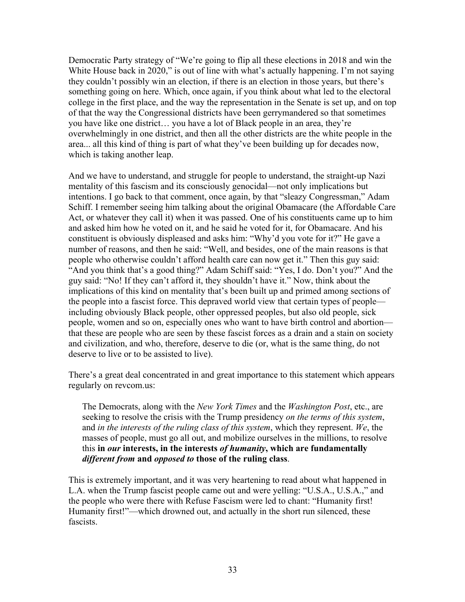Democratic Party strategy of "We're going to flip all these elections in 2018 and win the White House back in 2020," is out of line with what's actually happening. I'm not saying they couldn't possibly win an election, if there is an election in those years, but there's something going on here. Which, once again, if you think about what led to the electoral college in the first place, and the way the representation in the Senate is set up, and on top of that the way the Congressional districts have been gerrymandered so that sometimes you have like one district… you have a lot of Black people in an area, they're overwhelmingly in one district, and then all the other districts are the white people in the area... all this kind of thing is part of what they've been building up for decades now, which is taking another leap.

And we have to understand, and struggle for people to understand, the straight-up Nazi mentality of this fascism and its consciously genocidal—not only implications but intentions. I go back to that comment, once again, by that "sleazy Congressman," Adam Schiff. I remember seeing him talking about the original Obamacare (the Affordable Care Act, or whatever they call it) when it was passed. One of his constituents came up to him and asked him how he voted on it, and he said he voted for it, for Obamacare. And his constituent is obviously displeased and asks him: "Why'd you vote for it?" He gave a number of reasons, and then he said: "Well, and besides, one of the main reasons is that people who otherwise couldn't afford health care can now get it." Then this guy said: "And you think that's a good thing?" Adam Schiff said: "Yes, I do. Don't you?" And the guy said: "No! If they can't afford it, they shouldn't have it." Now, think about the implications of this kind on mentality that's been built up and primed among sections of the people into a fascist force. This depraved world view that certain types of people including obviously Black people, other oppressed peoples, but also old people, sick people, women and so on, especially ones who want to have birth control and abortion that these are people who are seen by these fascist forces as a drain and a stain on society and civilization, and who, therefore, deserve to die (or, what is the same thing, do not deserve to live or to be assisted to live).

There's a great deal concentrated in and great importance to this statement which appears regularly on revcom.us:

The Democrats, along with the *New York Times* and the *Washington Post*, etc., are seeking to resolve the crisis with the Trump presidency *on the terms of this system*, and *in the interests of the ruling class of this system*, which they represent. *We*, the masses of people, must go all out, and mobilize ourselves in the millions, to resolve this **in** *our* **interests, in the interests** *of humanity***, which are fundamentally**  *different from* **and** *opposed to* **those of the ruling class**.

This is extremely important, and it was very heartening to read about what happened in L.A. when the Trump fascist people came out and were yelling: "U.S.A., U.S.A.," and the people who were there with Refuse Fascism were led to chant: "Humanity first! Humanity first!"—which drowned out, and actually in the short run silenced, these fascists.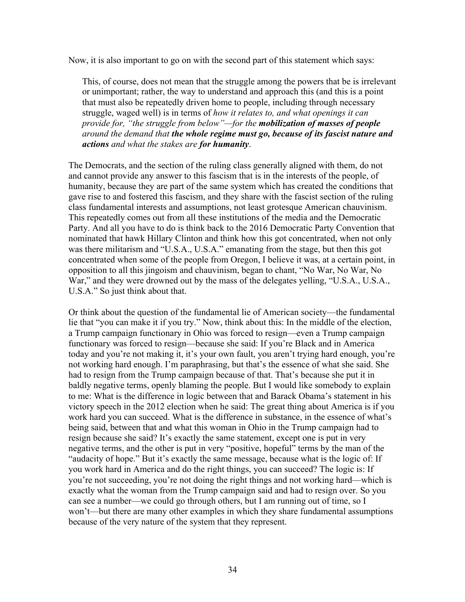Now, it is also important to go on with the second part of this statement which says:

This, of course, does not mean that the struggle among the powers that be is irrelevant or unimportant; rather, the way to understand and approach this (and this is a point that must also be repeatedly driven home to people, including through necessary struggle, waged well) is in terms of *how it relates to, and what openings it can provide for, "the struggle from below"—for the mobilization of masses of people around the demand that the whole regime must go, because of its fascist nature and actions and what the stakes are for humanity*.

The Democrats, and the section of the ruling class generally aligned with them, do not and cannot provide any answer to this fascism that is in the interests of the people, of humanity, because they are part of the same system which has created the conditions that gave rise to and fostered this fascism, and they share with the fascist section of the ruling class fundamental interests and assumptions, not least grotesque American chauvinism. This repeatedly comes out from all these institutions of the media and the Democratic Party. And all you have to do is think back to the 2016 Democratic Party Convention that nominated that hawk Hillary Clinton and think how this got concentrated, when not only was there militarism and "U.S.A., U.S.A." emanating from the stage, but then this got concentrated when some of the people from Oregon, I believe it was, at a certain point, in opposition to all this jingoism and chauvinism, began to chant, "No War, No War, No War," and they were drowned out by the mass of the delegates yelling, "U.S.A., U.S.A., U.S.A." So just think about that.

Or think about the question of the fundamental lie of American society—the fundamental lie that "you can make it if you try." Now, think about this: In the middle of the election, a Trump campaign functionary in Ohio was forced to resign—even a Trump campaign functionary was forced to resign—because she said: If you're Black and in America today and you're not making it, it's your own fault, you aren't trying hard enough, you're not working hard enough. I'm paraphrasing, but that's the essence of what she said. She had to resign from the Trump campaign because of that. That's because she put it in baldly negative terms, openly blaming the people. But I would like somebody to explain to me: What is the difference in logic between that and Barack Obama's statement in his victory speech in the 2012 election when he said: The great thing about America is if you work hard you can succeed. What is the difference in substance, in the essence of what's being said, between that and what this woman in Ohio in the Trump campaign had to resign because she said? It's exactly the same statement, except one is put in very negative terms, and the other is put in very "positive, hopeful" terms by the man of the "audacity of hope." But it's exactly the same message, because what is the logic of: If you work hard in America and do the right things, you can succeed? The logic is: If you're not succeeding, you're not doing the right things and not working hard—which is exactly what the woman from the Trump campaign said and had to resign over. So you can see a number—we could go through others, but I am running out of time, so I won't—but there are many other examples in which they share fundamental assumptions because of the very nature of the system that they represent.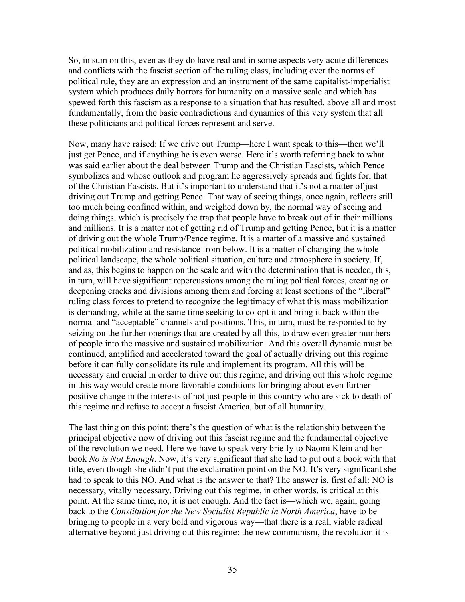So, in sum on this, even as they do have real and in some aspects very acute differences and conflicts with the fascist section of the ruling class, including over the norms of political rule, they are an expression and an instrument of the same capitalist-imperialist system which produces daily horrors for humanity on a massive scale and which has spewed forth this fascism as a response to a situation that has resulted, above all and most fundamentally, from the basic contradictions and dynamics of this very system that all these politicians and political forces represent and serve.

Now, many have raised: If we drive out Trump—here I want speak to this—then we'll just get Pence, and if anything he is even worse. Here it's worth referring back to what was said earlier about the deal between Trump and the Christian Fascists, which Pence symbolizes and whose outlook and program he aggressively spreads and fights for, that of the Christian Fascists. But it's important to understand that it's not a matter of just driving out Trump and getting Pence. That way of seeing things, once again, reflects still too much being confined within, and weighed down by, the normal way of seeing and doing things, which is precisely the trap that people have to break out of in their millions and millions. It is a matter not of getting rid of Trump and getting Pence, but it is a matter of driving out the whole Trump/Pence regime. It is a matter of a massive and sustained political mobilization and resistance from below. It is a matter of changing the whole political landscape, the whole political situation, culture and atmosphere in society. If, and as, this begins to happen on the scale and with the determination that is needed, this, in turn, will have significant repercussions among the ruling political forces, creating or deepening cracks and divisions among them and forcing at least sections of the "liberal" ruling class forces to pretend to recognize the legitimacy of what this mass mobilization is demanding, while at the same time seeking to co-opt it and bring it back within the normal and "acceptable" channels and positions. This, in turn, must be responded to by seizing on the further openings that are created by all this, to draw even greater numbers of people into the massive and sustained mobilization. And this overall dynamic must be continued, amplified and accelerated toward the goal of actually driving out this regime before it can fully consolidate its rule and implement its program. All this will be necessary and crucial in order to drive out this regime, and driving out this whole regime in this way would create more favorable conditions for bringing about even further positive change in the interests of not just people in this country who are sick to death of this regime and refuse to accept a fascist America, but of all humanity.

The last thing on this point: there's the question of what is the relationship between the principal objective now of driving out this fascist regime and the fundamental objective of the revolution we need. Here we have to speak very briefly to Naomi Klein and her book *No is Not Enough*. Now, it's very significant that she had to put out a book with that title, even though she didn't put the exclamation point on the NO. It's very significant she had to speak to this NO. And what is the answer to that? The answer is, first of all: NO is necessary, vitally necessary. Driving out this regime, in other words, is critical at this point. At the same time, no, it is not enough. And the fact is—which we, again, going back to the *Constitution for the New Socialist Republic in North America*, have to be bringing to people in a very bold and vigorous way—that there is a real, viable radical alternative beyond just driving out this regime: the new communism, the revolution it is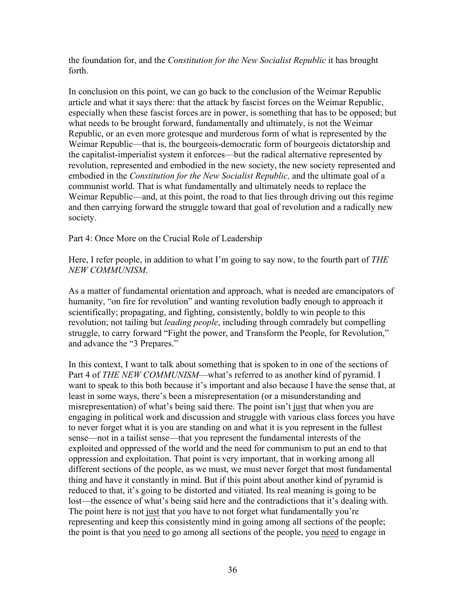the foundation for, and the *Constitution for the New Socialist Republic* it has brought forth.

In conclusion on this point, we can go back to the conclusion of the Weimar Republic article and what it says there: that the attack by fascist forces on the Weimar Republic, especially when these fascist forces are in power, is something that has to be opposed; but what needs to be brought forward, fundamentally and ultimately, is not the Weimar Republic, or an even more grotesque and murderous form of what is represented by the Weimar Republic—that is, the bourgeois-democratic form of bourgeois dictatorship and the capitalist-imperialist system it enforces—but the radical alternative represented by revolution, represented and embodied in the new society, the new society represented and embodied in the *Constitution for the New Socialist Republic,* and the ultimate goal of a communist world. That is what fundamentally and ultimately needs to replace the Weimar Republic—and, at this point, the road to that lies through driving out this regime and then carrying forward the struggle toward that goal of revolution and a radically new society.

Part 4: Once More on the Crucial Role of Leadership

Here, I refer people, in addition to what I'm going to say now, to the fourth part of *THE NEW COMMUNISM*.

As a matter of fundamental orientation and approach, what is needed are emancipators of humanity, "on fire for revolution" and wanting revolution badly enough to approach it scientifically; propagating, and fighting, consistently, boldly to win people to this revolution; not tailing but *leading people*, including through comradely but compelling struggle, to carry forward "Fight the power, and Transform the People, for Revolution," and advance the "3 Prepares."

In this context, I want to talk about something that is spoken to in one of the sections of Part 4 of *THE NEW COMMUNISM*—what's referred to as another kind of pyramid. I want to speak to this both because it's important and also because I have the sense that, at least in some ways, there's been a misrepresentation (or a misunderstanding and misrepresentation) of what's being said there. The point isn't just that when you are engaging in political work and discussion and struggle with various class forces you have to never forget what it is you are standing on and what it is you represent in the fullest sense—not in a tailist sense—that you represent the fundamental interests of the exploited and oppressed of the world and the need for communism to put an end to that oppression and exploitation. That point is very important, that in working among all different sections of the people, as we must, we must never forget that most fundamental thing and have it constantly in mind. But if this point about another kind of pyramid is reduced to that, it's going to be distorted and vitiated. Its real meaning is going to be lost—the essence of what's being said here and the contradictions that it's dealing with. The point here is not just that you have to not forget what fundamentally you're representing and keep this consistently mind in going among all sections of the people; the point is that you need to go among all sections of the people, you need to engage in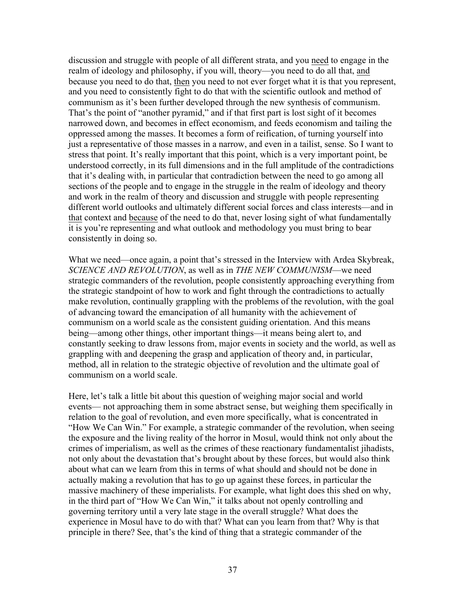discussion and struggle with people of all different strata, and you need to engage in the realm of ideology and philosophy, if you will, theory—you need to do all that, and because you need to do that, then you need to not ever forget what it is that you represent, and you need to consistently fight to do that with the scientific outlook and method of communism as it's been further developed through the new synthesis of communism. That's the point of "another pyramid," and if that first part is lost sight of it becomes narrowed down, and becomes in effect economism, and feeds economism and tailing the oppressed among the masses. It becomes a form of reification, of turning yourself into just a representative of those masses in a narrow, and even in a tailist, sense. So I want to stress that point. It's really important that this point, which is a very important point, be understood correctly, in its full dimensions and in the full amplitude of the contradictions that it's dealing with, in particular that contradiction between the need to go among all sections of the people and to engage in the struggle in the realm of ideology and theory and work in the realm of theory and discussion and struggle with people representing different world outlooks and ultimately different social forces and class interests—and in that context and because of the need to do that, never losing sight of what fundamentally it is you're representing and what outlook and methodology you must bring to bear consistently in doing so.

What we need—once again, a point that's stressed in the Interview with Ardea Skybreak, *SCIENCE AND REVOLUTION*, as well as in *THE NEW COMMUNISM*—we need strategic commanders of the revolution, people consistently approaching everything from the strategic standpoint of how to work and fight through the contradictions to actually make revolution, continually grappling with the problems of the revolution, with the goal of advancing toward the emancipation of all humanity with the achievement of communism on a world scale as the consistent guiding orientation. And this means being—among other things, other important things—it means being alert to, and constantly seeking to draw lessons from, major events in society and the world, as well as grappling with and deepening the grasp and application of theory and, in particular, method, all in relation to the strategic objective of revolution and the ultimate goal of communism on a world scale.

Here, let's talk a little bit about this question of weighing major social and world events— not approaching them in some abstract sense, but weighing them specifically in relation to the goal of revolution, and even more specifically, what is concentrated in "How We Can Win." For example, a strategic commander of the revolution, when seeing the exposure and the living reality of the horror in Mosul, would think not only about the crimes of imperialism, as well as the crimes of these reactionary fundamentalist jihadists, not only about the devastation that's brought about by these forces, but would also think about what can we learn from this in terms of what should and should not be done in actually making a revolution that has to go up against these forces, in particular the massive machinery of these imperialists. For example, what light does this shed on why, in the third part of "How We Can Win," it talks about not openly controlling and governing territory until a very late stage in the overall struggle? What does the experience in Mosul have to do with that? What can you learn from that? Why is that principle in there? See, that's the kind of thing that a strategic commander of the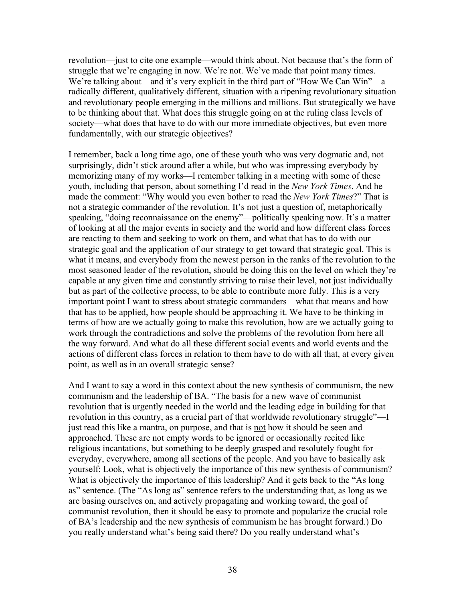revolution—just to cite one example—would think about. Not because that's the form of struggle that we're engaging in now. We're not. We've made that point many times. We're talking about—and it's very explicit in the third part of "How We Can Win"—a radically different, qualitatively different, situation with a ripening revolutionary situation and revolutionary people emerging in the millions and millions. But strategically we have to be thinking about that. What does this struggle going on at the ruling class levels of society—what does that have to do with our more immediate objectives, but even more fundamentally, with our strategic objectives?

I remember, back a long time ago, one of these youth who was very dogmatic and, not surprisingly, didn't stick around after a while, but who was impressing everybody by memorizing many of my works—I remember talking in a meeting with some of these youth, including that person, about something I'd read in the *New York Times*. And he made the comment: "Why would you even bother to read the *New York Times*?" That is not a strategic commander of the revolution. It's not just a question of, metaphorically speaking, "doing reconnaissance on the enemy"—politically speaking now. It's a matter of looking at all the major events in society and the world and how different class forces are reacting to them and seeking to work on them, and what that has to do with our strategic goal and the application of our strategy to get toward that strategic goal. This is what it means, and everybody from the newest person in the ranks of the revolution to the most seasoned leader of the revolution, should be doing this on the level on which they're capable at any given time and constantly striving to raise their level, not just individually but as part of the collective process, to be able to contribute more fully. This is a very important point I want to stress about strategic commanders—what that means and how that has to be applied, how people should be approaching it. We have to be thinking in terms of how are we actually going to make this revolution, how are we actually going to work through the contradictions and solve the problems of the revolution from here all the way forward. And what do all these different social events and world events and the actions of different class forces in relation to them have to do with all that, at every given point, as well as in an overall strategic sense?

And I want to say a word in this context about the new synthesis of communism, the new communism and the leadership of BA. "The basis for a new wave of communist revolution that is urgently needed in the world and the leading edge in building for that revolution in this country, as a crucial part of that worldwide revolutionary struggle"—I just read this like a mantra, on purpose, and that is not how it should be seen and approached. These are not empty words to be ignored or occasionally recited like religious incantations, but something to be deeply grasped and resolutely fought for everyday, everywhere, among all sections of the people. And you have to basically ask yourself: Look, what is objectively the importance of this new synthesis of communism? What is objectively the importance of this leadership? And it gets back to the "As long as" sentence. (The "As long as" sentence refers to the understanding that, as long as we are basing ourselves on, and actively propagating and working toward, the goal of communist revolution, then it should be easy to promote and popularize the crucial role of BA's leadership and the new synthesis of communism he has brought forward.) Do you really understand what's being said there? Do you really understand what's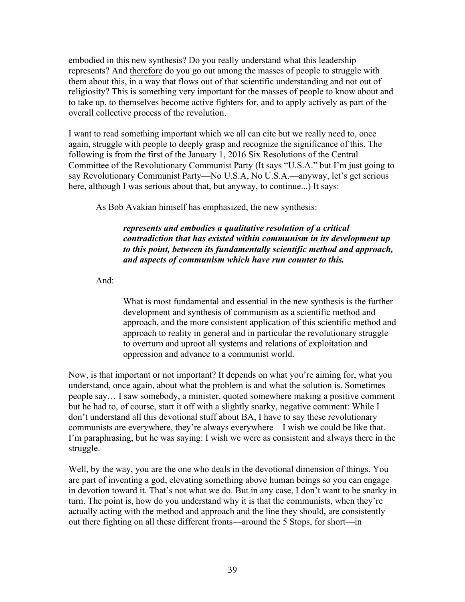embodied in this new synthesis? Do you really understand what this leadership represents? And therefore do you go out among the masses of people to struggle with them about this, in a way that flows out of that scientific understanding and not out of religiosity? This is something very important for the masses of people to know about and to take up, to themselves become active fighters for, and to apply actively as part of the overall collective process of the revolution.

I want to read something important which we all can cite but we really need to, once again, struggle with people to deeply grasp and recognize the significance of this. The following is from the first of the January 1, 2016 Six Resolutions of the Central Committee of the Revolutionary Communist Party (It says "U.S.A." but I'm just going to say Revolutionary Communist Party—No U.S.A, No U.S.A.—anyway, let's get serious here, although I was serious about that, but anyway, to continue...) It says:

As Bob Avakian himself has emphasized, the new synthesis:

*represents and embodies a qualitative resolution of a critical contradiction that has existed within communism in its development up to this point, between its fundamentally scientific method and approach, and aspects of communism which have run counter to this.*

And:

What is most fundamental and essential in the new synthesis is the further development and synthesis of communism as a scientific method and approach, and the more consistent application of this scientific method and approach to reality in general and in particular the revolutionary struggle to overturn and uproot all systems and relations of exploitation and oppression and advance to a communist world.

Now, is that important or not important? It depends on what you're aiming for, what you understand, once again, about what the problem is and what the solution is. Sometimes people say… I saw somebody, a minister, quoted somewhere making a positive comment but he had to, of course, start it off with a slightly snarky, negative comment: While I don't understand all this devotional stuff about BA, I have to say these revolutionary communists are everywhere, they're always everywhere—I wish we could be like that. I'm paraphrasing, but he was saying: I wish we were as consistent and always there in the struggle.

Well, by the way, you are the one who deals in the devotional dimension of things. You are part of inventing a god, elevating something above human beings so you can engage in devotion toward it. That's not what we do. But in any case, I don't want to be snarky in turn. The point is, how do you understand why it is that the communists, when they're actually acting with the method and approach and the line they should, are consistently out there fighting on all these different fronts—around the 5 Stops, for short—in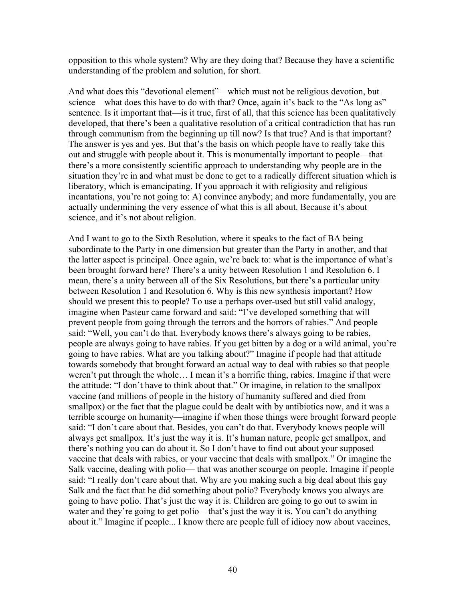opposition to this whole system? Why are they doing that? Because they have a scientific understanding of the problem and solution, for short.

And what does this "devotional element"—which must not be religious devotion, but science—what does this have to do with that? Once, again it's back to the "As long as" sentence. Is it important that—is it true, first of all, that this science has been qualitatively developed, that there's been a qualitative resolution of a critical contradiction that has run through communism from the beginning up till now? Is that true? And is that important? The answer is yes and yes. But that's the basis on which people have to really take this out and struggle with people about it. This is monumentally important to people—that there's a more consistently scientific approach to understanding why people are in the situation they're in and what must be done to get to a radically different situation which is liberatory, which is emancipating. If you approach it with religiosity and religious incantations, you're not going to: A) convince anybody; and more fundamentally, you are actually undermining the very essence of what this is all about. Because it's about science, and it's not about religion.

And I want to go to the Sixth Resolution, where it speaks to the fact of BA being subordinate to the Party in one dimension but greater than the Party in another, and that the latter aspect is principal. Once again, we're back to: what is the importance of what's been brought forward here? There's a unity between Resolution 1 and Resolution 6. I mean, there's a unity between all of the Six Resolutions, but there's a particular unity between Resolution 1 and Resolution 6. Why is this new synthesis important? How should we present this to people? To use a perhaps over-used but still valid analogy, imagine when Pasteur came forward and said: "I've developed something that will prevent people from going through the terrors and the horrors of rabies." And people said: "Well, you can't do that. Everybody knows there's always going to be rabies, people are always going to have rabies. If you get bitten by a dog or a wild animal, you're going to have rabies. What are you talking about?" Imagine if people had that attitude towards somebody that brought forward an actual way to deal with rabies so that people weren't put through the whole… I mean it's a horrific thing, rabies. Imagine if that were the attitude: "I don't have to think about that." Or imagine, in relation to the smallpox vaccine (and millions of people in the history of humanity suffered and died from smallpox) or the fact that the plague could be dealt with by antibiotics now, and it was a terrible scourge on humanity—imagine if when those things were brought forward people said: "I don't care about that. Besides, you can't do that. Everybody knows people will always get smallpox. It's just the way it is. It's human nature, people get smallpox, and there's nothing you can do about it. So I don't have to find out about your supposed vaccine that deals with rabies, or your vaccine that deals with smallpox." Or imagine the Salk vaccine, dealing with polio— that was another scourge on people. Imagine if people said: "I really don't care about that. Why are you making such a big deal about this guy Salk and the fact that he did something about polio? Everybody knows you always are going to have polio. That's just the way it is. Children are going to go out to swim in water and they're going to get polio—that's just the way it is. You can't do anything about it." Imagine if people... I know there are people full of idiocy now about vaccines,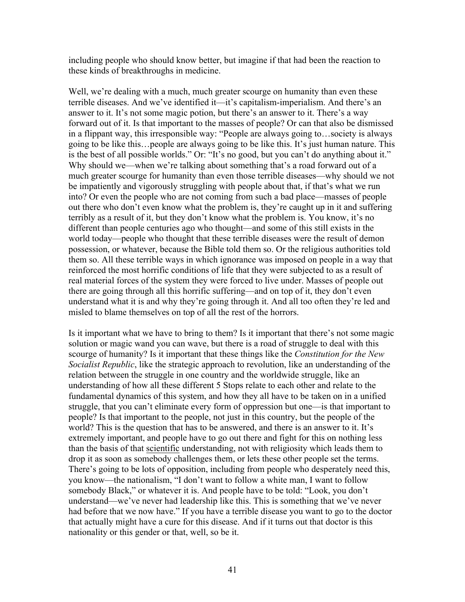including people who should know better, but imagine if that had been the reaction to these kinds of breakthroughs in medicine.

Well, we're dealing with a much, much greater scourge on humanity than even these terrible diseases. And we've identified it—it's capitalism-imperialism. And there's an answer to it. It's not some magic potion, but there's an answer to it. There's a way forward out of it. Is that important to the masses of people? Or can that also be dismissed in a flippant way, this irresponsible way: "People are always going to…society is always going to be like this…people are always going to be like this. It's just human nature. This is the best of all possible worlds." Or: "It's no good, but you can't do anything about it." Why should we—when we're talking about something that's a road forward out of a much greater scourge for humanity than even those terrible diseases—why should we not be impatiently and vigorously struggling with people about that, if that's what we run into? Or even the people who are not coming from such a bad place—masses of people out there who don't even know what the problem is, they're caught up in it and suffering terribly as a result of it, but they don't know what the problem is. You know, it's no different than people centuries ago who thought—and some of this still exists in the world today—people who thought that these terrible diseases were the result of demon possession, or whatever, because the Bible told them so. Or the religious authorities told them so. All these terrible ways in which ignorance was imposed on people in a way that reinforced the most horrific conditions of life that they were subjected to as a result of real material forces of the system they were forced to live under. Masses of people out there are going through all this horrific suffering—and on top of it, they don't even understand what it is and why they're going through it. And all too often they're led and misled to blame themselves on top of all the rest of the horrors.

Is it important what we have to bring to them? Is it important that there's not some magic solution or magic wand you can wave, but there is a road of struggle to deal with this scourge of humanity? Is it important that these things like the *Constitution for the New Socialist Republic*, like the strategic approach to revolution, like an understanding of the relation between the struggle in one country and the worldwide struggle, like an understanding of how all these different 5 Stops relate to each other and relate to the fundamental dynamics of this system, and how they all have to be taken on in a unified struggle, that you can't eliminate every form of oppression but one—is that important to people? Is that important to the people, not just in this country, but the people of the world? This is the question that has to be answered, and there is an answer to it. It's extremely important, and people have to go out there and fight for this on nothing less than the basis of that scientific understanding, not with religiosity which leads them to drop it as soon as somebody challenges them, or lets these other people set the terms. There's going to be lots of opposition, including from people who desperately need this, you know—the nationalism, "I don't want to follow a white man, I want to follow somebody Black," or whatever it is. And people have to be told: "Look, you don't understand—we've never had leadership like this. This is something that we've never had before that we now have." If you have a terrible disease you want to go to the doctor that actually might have a cure for this disease. And if it turns out that doctor is this nationality or this gender or that, well, so be it.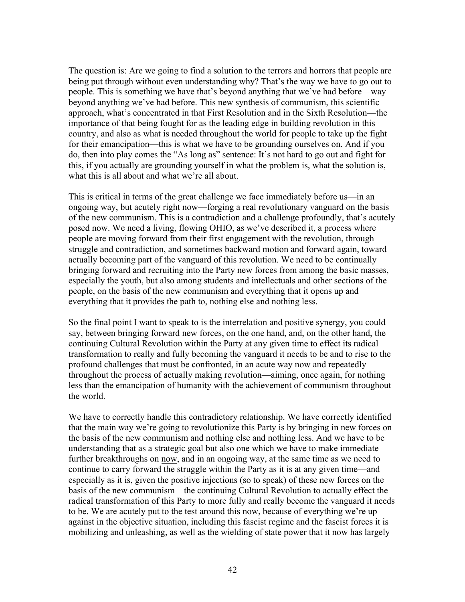The question is: Are we going to find a solution to the terrors and horrors that people are being put through without even understanding why? That's the way we have to go out to people. This is something we have that's beyond anything that we've had before—way beyond anything we've had before. This new synthesis of communism, this scientific approach, what's concentrated in that First Resolution and in the Sixth Resolution—the importance of that being fought for as the leading edge in building revolution in this country, and also as what is needed throughout the world for people to take up the fight for their emancipation—this is what we have to be grounding ourselves on. And if you do, then into play comes the "As long as" sentence: It's not hard to go out and fight for this, if you actually are grounding yourself in what the problem is, what the solution is, what this is all about and what we're all about.

This is critical in terms of the great challenge we face immediately before us—in an ongoing way, but acutely right now—forging a real revolutionary vanguard on the basis of the new communism. This is a contradiction and a challenge profoundly, that's acutely posed now. We need a living, flowing OHIO, as we've described it, a process where people are moving forward from their first engagement with the revolution, through struggle and contradiction, and sometimes backward motion and forward again, toward actually becoming part of the vanguard of this revolution. We need to be continually bringing forward and recruiting into the Party new forces from among the basic masses, especially the youth, but also among students and intellectuals and other sections of the people, on the basis of the new communism and everything that it opens up and everything that it provides the path to, nothing else and nothing less.

So the final point I want to speak to is the interrelation and positive synergy, you could say, between bringing forward new forces, on the one hand, and, on the other hand, the continuing Cultural Revolution within the Party at any given time to effect its radical transformation to really and fully becoming the vanguard it needs to be and to rise to the profound challenges that must be confronted, in an acute way now and repeatedly throughout the process of actually making revolution—aiming, once again, for nothing less than the emancipation of humanity with the achievement of communism throughout the world.

We have to correctly handle this contradictory relationship. We have correctly identified that the main way we're going to revolutionize this Party is by bringing in new forces on the basis of the new communism and nothing else and nothing less. And we have to be understanding that as a strategic goal but also one which we have to make immediate further breakthroughs on now, and in an ongoing way, at the same time as we need to continue to carry forward the struggle within the Party as it is at any given time—and especially as it is, given the positive injections (so to speak) of these new forces on the basis of the new communism—the continuing Cultural Revolution to actually effect the radical transformation of this Party to more fully and really become the vanguard it needs to be. We are acutely put to the test around this now, because of everything we're up against in the objective situation, including this fascist regime and the fascist forces it is mobilizing and unleashing, as well as the wielding of state power that it now has largely